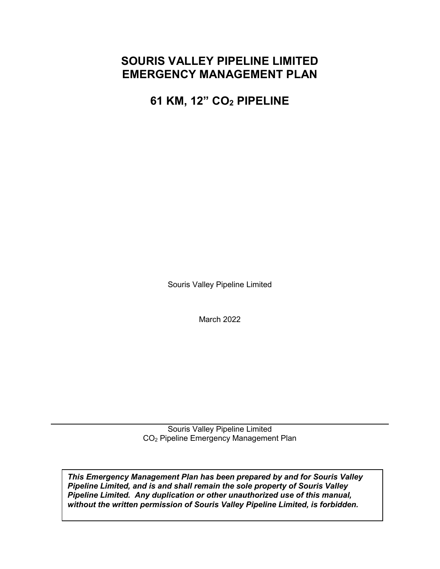## **SOURIS VALLEY PIPELINE LIMITED EMERGENCY MANAGEMENT PLAN**

**61 KM, 12" CO2 PIPELINE** 

Souris Valley Pipeline Limited

March 2022

Souris Valley Pipeline Limited CO2 Pipeline Emergency Management Plan

*This Emergency Management Plan has been prepared by and for Souris Valley Pipeline Limited, and is and shall remain the sole property of Souris Valley Pipeline Limited. Any duplication or other unauthorized use of this manual, without the written permission of Souris Valley Pipeline Limited, is forbidden.*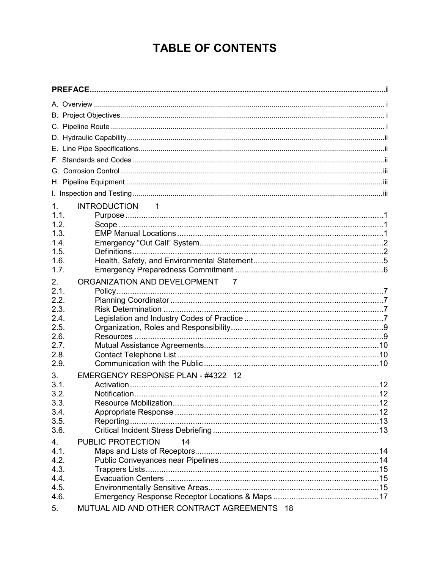## **TABLE OF CONTENTS**

| 1 <sub>1</sub> | <b>INTRODUCTION</b><br>$\sim$ 1             |  |
|----------------|---------------------------------------------|--|
| 1.1.           |                                             |  |
| 1.2.           |                                             |  |
| 1.3.           |                                             |  |
| 1.4.           |                                             |  |
| 1.5.           |                                             |  |
| 1.6.           |                                             |  |
| 1.7.           |                                             |  |
| 2.             | ORGANIZATION AND DEVELOPMENT 7              |  |
| 2.1.           |                                             |  |
| 2.2.           |                                             |  |
| 2.3.           |                                             |  |
| 2.4.           |                                             |  |
| 2.5.           |                                             |  |
| 2.6.           |                                             |  |
| 2.7.           |                                             |  |
| 2.8.<br>2.9.   |                                             |  |
|                |                                             |  |
| 3.             | EMERGENCY RESPONSE PLAN - #4322 12          |  |
| 3.1.           |                                             |  |
| 3.2.           |                                             |  |
| 3.3.<br>3.4.   |                                             |  |
| 3.5.           | Reporting                                   |  |
| 3.6.           |                                             |  |
| 4.             | PUBLIC PROTECTION<br>14                     |  |
| 4.1.           |                                             |  |
| 4.2.           |                                             |  |
| 4.3.           |                                             |  |
| 4.4.           |                                             |  |
| 4.5.           |                                             |  |
| 4.6.           |                                             |  |
| 5.             | MUTUAL AID AND OTHER CONTRACT AGREEMENTS 18 |  |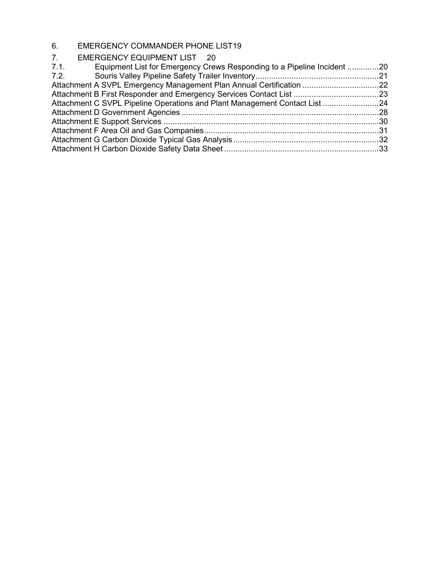### 6. [EMERGENCY COMMANDER PHONE LIST19](#page-24-0) 7. [EMERGENCY EQUIPMENT LIST](#page-25-0) 20

| EMERGENCY EQUIPMENT LIST 20                                                     |  |
|---------------------------------------------------------------------------------|--|
| 7.1.<br>Equipment List for Emergency Crews Responding to a Pipeline Incident 20 |  |
| 7.2.                                                                            |  |
| Attachment A SVPL Emergency Management Plan Annual Certification 22             |  |
| Attachment B First Responder and Emergency Services Contact List 23             |  |
| Attachment C SVPL Pipeline Operations and Plant Management Contact List 24      |  |
|                                                                                 |  |
|                                                                                 |  |
|                                                                                 |  |
|                                                                                 |  |
|                                                                                 |  |
|                                                                                 |  |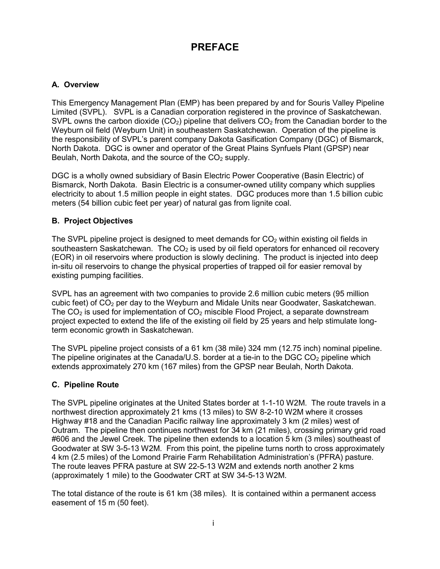## **PREFACE**

### <span id="page-3-1"></span><span id="page-3-0"></span>**A. Overview**

This Emergency Management Plan (EMP) has been prepared by and for Souris Valley Pipeline Limited (SVPL). SVPL is a Canadian corporation registered in the province of Saskatchewan. SVPL owns the carbon dioxide (CO<sub>2</sub>) pipeline that delivers CO<sub>2</sub> from the Canadian border to the Weyburn oil field (Weyburn Unit) in southeastern Saskatchewan. Operation of the pipeline is the responsibility of SVPL's parent company Dakota Gasification Company (DGC) of Bismarck, North Dakota. DGC is owner and operator of the Great Plains Synfuels Plant (GPSP) near Beulah, North Dakota, and the source of the  $CO<sub>2</sub>$  supply.

DGC is a wholly owned subsidiary of Basin Electric Power Cooperative (Basin Electric) of Bismarck, North Dakota. Basin Electric is a consumer-owned utility company which supplies electricity to about 1.5 million people in eight states. DGC produces more than 1.5 billion cubic meters (54 billion cubic feet per year) of natural gas from lignite coal.

### <span id="page-3-2"></span>**B. Project Objectives**

The SVPL pipeline project is designed to meet demands for  $CO<sub>2</sub>$  within existing oil fields in southeastern Saskatchewan. The  $CO<sub>2</sub>$  is used by oil field operators for enhanced oil recovery (EOR) in oil reservoirs where production is slowly declining. The product is injected into deep in-situ oil reservoirs to change the physical properties of trapped oil for easier removal by existing pumping facilities.

SVPL has an agreement with two companies to provide 2.6 million cubic meters (95 million cubic feet) of  $CO<sub>2</sub>$  per day to the Weyburn and Midale Units near Goodwater, Saskatchewan. The  $CO<sub>2</sub>$  is used for implementation of  $CO<sub>2</sub>$  miscible Flood Project, a separate downstream project expected to extend the life of the existing oil field by 25 years and help stimulate longterm economic growth in Saskatchewan.

The SVPL pipeline project consists of a 61 km (38 mile) 324 mm (12.75 inch) nominal pipeline. The pipeline originates at the Canada/U.S. border at a tie-in to the DGC  $CO<sub>2</sub>$  pipeline which extends approximately 270 km (167 miles) from the GPSP near Beulah, North Dakota.

### <span id="page-3-3"></span>**C. Pipeline Route**

The SVPL pipeline originates at the United States border at 1-1-10 W2M. The route travels in a northwest direction approximately 21 kms (13 miles) to SW 8-2-10 W2M where it crosses Highway #18 and the Canadian Pacific railway line approximately 3 km (2 miles) west of Outram. The pipeline then continues northwest for 34 km (21 miles), crossing primary grid road #606 and the Jewel Creek. The pipeline then extends to a location 5 km (3 miles) southeast of Goodwater at SW 3-5-13 W2M. From this point, the pipeline turns north to cross approximately 4 km (2.5 miles) of the Lomond Prairie Farm Rehabilitation Administration's (PFRA) pasture. The route leaves PFRA pasture at SW 22-5-13 W2M and extends north another 2 kms (approximately 1 mile) to the Goodwater CRT at SW 34-5-13 W2M.

The total distance of the route is 61 km (38 miles). It is contained within a permanent access easement of 15 m (50 feet).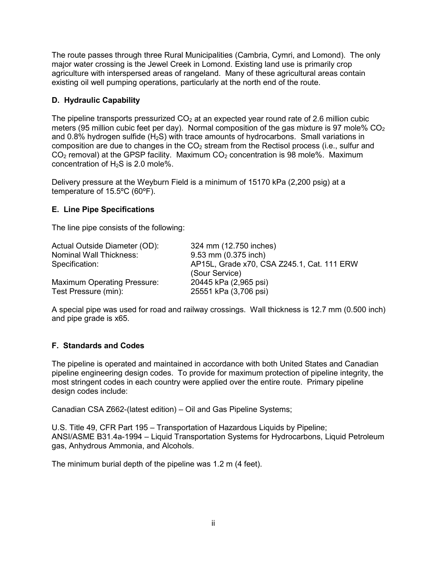The route passes through three Rural Municipalities (Cambria, Cymri, and Lomond). The only major water crossing is the Jewel Creek in Lomond. Existing land use is primarily crop agriculture with interspersed areas of rangeland. Many of these agricultural areas contain existing oil well pumping operations, particularly at the north end of the route.

### <span id="page-4-0"></span>**D. Hydraulic Capability**

The pipeline transports pressurized  $CO<sub>2</sub>$  at an expected year round rate of 2.6 million cubic meters (95 million cubic feet per day). Normal composition of the gas mixture is 97 mole%  $CO<sub>2</sub>$ and 0.8% hydrogen sulfide ( $H_2S$ ) with trace amounts of hydrocarbons. Small variations in composition are due to changes in the  $CO<sub>2</sub>$  stream from the Rectisol process (i.e., sulfur and  $CO<sub>2</sub>$  removal) at the GPSP facility. Maximum  $CO<sub>2</sub>$  concentration is 98 mole%. Maximum concentration of  $H_2S$  is 2.0 mole%.

Delivery pressure at the Weyburn Field is a minimum of 15170 kPa (2,200 psig) at a temperature of 15.5ºC (60ºF).

### <span id="page-4-1"></span>**E. Line Pipe Specifications**

The line pipe consists of the following:

| Actual Outside Diameter (OD):      | 324 mm (12.750 inches)                     |
|------------------------------------|--------------------------------------------|
| Nominal Wall Thickness:            | 9.53 mm (0.375 inch)                       |
| Specification:                     | AP15L, Grade x70, CSA Z245.1, Cat. 111 ERW |
|                                    | (Sour Service)                             |
| <b>Maximum Operating Pressure:</b> | 20445 kPa (2,965 psi)                      |
| Test Pressure (min):               | 25551 kPa (3,706 psi)                      |
|                                    |                                            |

A special pipe was used for road and railway crossings. Wall thickness is 12.7 mm (0.500 inch) and pipe grade is x65.

### <span id="page-4-2"></span>**F. Standards and Codes**

The pipeline is operated and maintained in accordance with both United States and Canadian pipeline engineering design codes. To provide for maximum protection of pipeline integrity, the most stringent codes in each country were applied over the entire route. Primary pipeline design codes include:

Canadian CSA Z662-(latest edition) – Oil and Gas Pipeline Systems;

U.S. Title 49, CFR Part 195 – Transportation of Hazardous Liquids by Pipeline; ANSI/ASME B31.4a-1994 – Liquid Transportation Systems for Hydrocarbons, Liquid Petroleum gas, Anhydrous Ammonia, and Alcohols.

The minimum burial depth of the pipeline was 1.2 m (4 feet).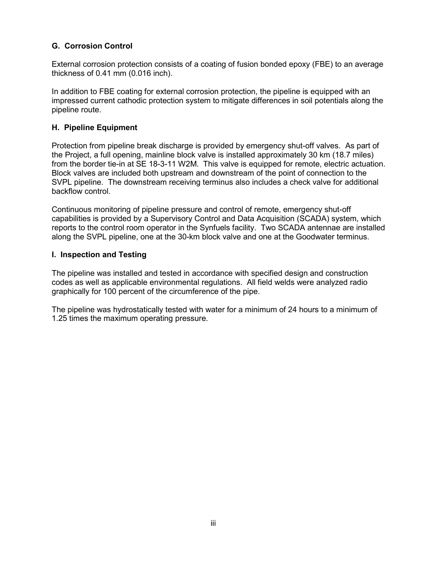### <span id="page-5-0"></span>**G. Corrosion Control**

External corrosion protection consists of a coating of fusion bonded epoxy (FBE) to an average thickness of 0.41 mm (0.016 inch).

In addition to FBE coating for external corrosion protection, the pipeline is equipped with an impressed current cathodic protection system to mitigate differences in soil potentials along the pipeline route.

### <span id="page-5-1"></span>**H. Pipeline Equipment**

Protection from pipeline break discharge is provided by emergency shut-off valves. As part of the Project, a full opening, mainline block valve is installed approximately 30 km (18.7 miles) from the border tie-in at SE 18-3-11 W2M. This valve is equipped for remote, electric actuation. Block valves are included both upstream and downstream of the point of connection to the SVPL pipeline. The downstream receiving terminus also includes a check valve for additional backflow control.

Continuous monitoring of pipeline pressure and control of remote, emergency shut-off capabilities is provided by a Supervisory Control and Data Acquisition (SCADA) system, which reports to the control room operator in the Synfuels facility. Two SCADA antennae are installed along the SVPL pipeline, one at the 30-km block valve and one at the Goodwater terminus.

### <span id="page-5-2"></span>**I. Inspection and Testing**

The pipeline was installed and tested in accordance with specified design and construction codes as well as applicable environmental regulations. All field welds were analyzed radio graphically for 100 percent of the circumference of the pipe.

The pipeline was hydrostatically tested with water for a minimum of 24 hours to a minimum of 1.25 times the maximum operating pressure.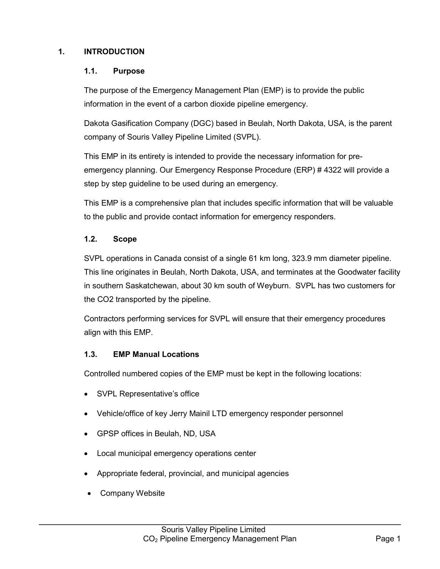### <span id="page-6-1"></span><span id="page-6-0"></span>**1. INTRODUCTION**

### **1.1. Purpose**

The purpose of the Emergency Management Plan (EMP) is to provide the public information in the event of a carbon dioxide pipeline emergency.

Dakota Gasification Company (DGC) based in Beulah, North Dakota, USA, is the parent company of Souris Valley Pipeline Limited (SVPL).

This EMP in its entirety is intended to provide the necessary information for preemergency planning. Our Emergency Response Procedure (ERP) # 4322 will provide a step by step guideline to be used during an emergency.

This EMP is a comprehensive plan that includes specific information that will be valuable to the public and provide contact information for emergency responders.

### <span id="page-6-2"></span>**1.2. Scope**

SVPL operations in Canada consist of a single 61 km long, 323.9 mm diameter pipeline. This line originates in Beulah, North Dakota, USA, and terminates at the Goodwater facility in southern Saskatchewan, about 30 km south of Weyburn. SVPL has two customers for the CO2 transported by the pipeline.

Contractors performing services for SVPL will ensure that their emergency procedures align with this EMP.

### <span id="page-6-3"></span>**1.3. EMP Manual Locations**

Controlled numbered copies of the EMP must be kept in the following locations:

- SVPL Representative's office
- Vehicle/office of key Jerry Mainil LTD emergency responder personnel
- GPSP offices in Beulah, ND, USA
- Local municipal emergency operations center
- Appropriate federal, provincial, and municipal agencies
- Company Website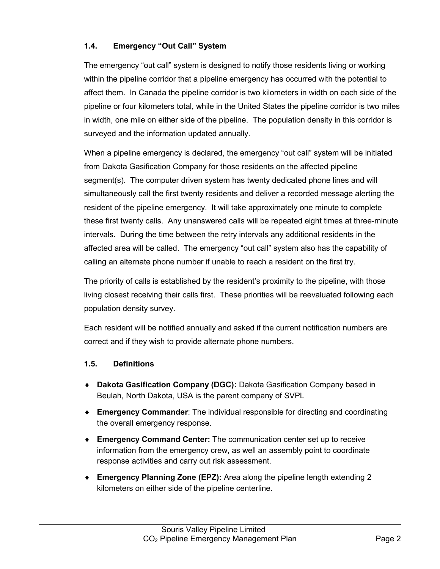### <span id="page-7-0"></span>**1.4. Emergency "Out Call" System**

The emergency "out call" system is designed to notify those residents living or working within the pipeline corridor that a pipeline emergency has occurred with the potential to affect them. In Canada the pipeline corridor is two kilometers in width on each side of the pipeline or four kilometers total, while in the United States the pipeline corridor is two miles in width, one mile on either side of the pipeline. The population density in this corridor is surveyed and the information updated annually.

When a pipeline emergency is declared, the emergency "out call" system will be initiated from Dakota Gasification Company for those residents on the affected pipeline segment(s). The computer driven system has twenty dedicated phone lines and will simultaneously call the first twenty residents and deliver a recorded message alerting the resident of the pipeline emergency. It will take approximately one minute to complete these first twenty calls. Any unanswered calls will be repeated eight times at three-minute intervals. During the time between the retry intervals any additional residents in the affected area will be called. The emergency "out call" system also has the capability of calling an alternate phone number if unable to reach a resident on the first try.

The priority of calls is established by the resident's proximity to the pipeline, with those living closest receiving their calls first. These priorities will be reevaluated following each population density survey.

Each resident will be notified annually and asked if the current notification numbers are correct and if they wish to provide alternate phone numbers.

### <span id="page-7-1"></span>**1.5. Definitions**

- ♦ **Dakota Gasification Company (DGC):** Dakota Gasification Company based in Beulah, North Dakota, USA is the parent company of SVPL
- ♦ **Emergency Commander**: The individual responsible for directing and coordinating the overall emergency response.
- ♦ **Emergency Command Center:** The communication center set up to receive information from the emergency crew, as well an assembly point to coordinate response activities and carry out risk assessment.
- ♦ **Emergency Planning Zone (EPZ):** Area along the pipeline length extending 2 kilometers on either side of the pipeline centerline.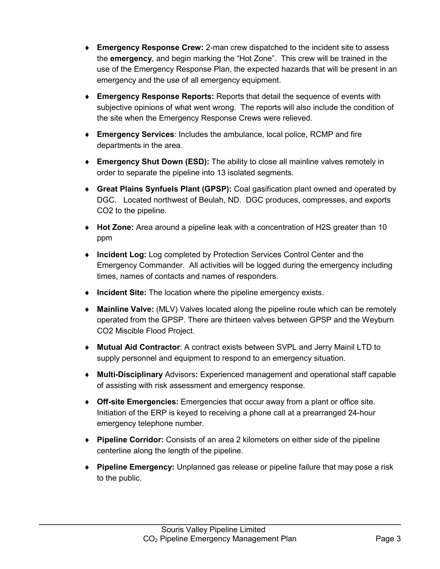- ♦ **Emergency Response Crew:** 2-man crew dispatched to the incident site to assess the **emergency**, and begin marking the "Hot Zone". This crew will be trained in the use of the Emergency Response Plan, the expected hazards that will be present in an emergency and the use of all emergency equipment.
- ♦ **Emergency Response Reports:** Reports that detail the sequence of events with subjective opinions of what went wrong. The reports will also include the condition of the site when the Emergency Response Crews were relieved.
- ♦ **Emergency Services**: Includes the ambulance, local police, RCMP and fire departments in the area.
- ♦ **Emergency Shut Down (ESD):** The ability to close all mainline valves remotely in order to separate the pipeline into 13 isolated segments.
- ♦ **Great Plains Synfuels Plant (GPSP):** Coal gasification plant owned and operated by DGC. Located northwest of Beulah, ND. DGC produces, compresses, and exports CO2 to the pipeline.
- ♦ **Hot Zone:** Area around a pipeline leak with a concentration of H2S greater than 10 ppm
- ♦ **Incident Log:** Log completed by Protection Services Control Center and the Emergency Commander. All activities will be logged during the emergency including times, names of contacts and names of responders.
- ♦ **Incident Site:** The location where the pipeline emergency exists.
- ♦ **Mainline Valve:** (MLV) Valves located along the pipeline route which can be remotely operated from the GPSP. There are thirteen valves between GPSP and the Weyburn CO2 Miscible Flood Project.
- ♦ **Mutual Aid Contractor**: A contract exists between SVPL and Jerry Mainil LTD to supply personnel and equipment to respond to an emergency situation.
- ♦ **Multi-Disciplinary** Advisors**:** Experienced management and operational staff capable of assisting with risk assessment and emergency response.
- ♦ **Off-site Emergencies:** Emergencies that occur away from a plant or office site. Initiation of the ERP is keyed to receiving a phone call at a prearranged 24-hour emergency telephone number.
- ♦ **Pipeline Corridor:** Consists of an area 2 kilometers on either side of the pipeline centerline along the length of the pipeline.
- ♦ **Pipeline Emergency:** Unplanned gas release or pipeline failure that may pose a risk to the public.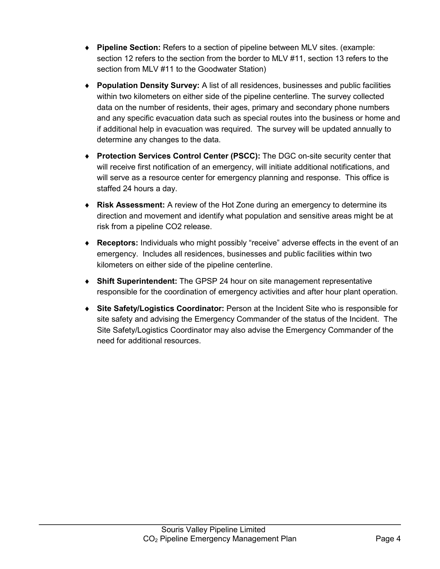- ♦ **Pipeline Section:** Refers to a section of pipeline between MLV sites. (example: section 12 refers to the section from the border to MLV #11, section 13 refers to the section from MLV #11 to the Goodwater Station)
- ♦ **Population Density Survey:** A list of all residences, businesses and public facilities within two kilometers on either side of the pipeline centerline. The survey collected data on the number of residents, their ages, primary and secondary phone numbers and any specific evacuation data such as special routes into the business or home and if additional help in evacuation was required. The survey will be updated annually to determine any changes to the data.
- ♦ **Protection Services Control Center (PSCC):** The DGC on-site security center that will receive first notification of an emergency, will initiate additional notifications, and will serve as a resource center for emergency planning and response. This office is staffed 24 hours a day.
- ♦ **Risk Assessment:** A review of the Hot Zone during an emergency to determine its direction and movement and identify what population and sensitive areas might be at risk from a pipeline CO2 release.
- ♦ **Receptors:** Individuals who might possibly "receive" adverse effects in the event of an emergency. Includes all residences, businesses and public facilities within two kilometers on either side of the pipeline centerline.
- ♦ **Shift Superintendent:** The GPSP 24 hour on site management representative responsible for the coordination of emergency activities and after hour plant operation.
- ♦ **Site Safety/Logistics Coordinator:** Person at the Incident Site who is responsible for site safety and advising the Emergency Commander of the status of the Incident. The Site Safety/Logistics Coordinator may also advise the Emergency Commander of the need for additional resources.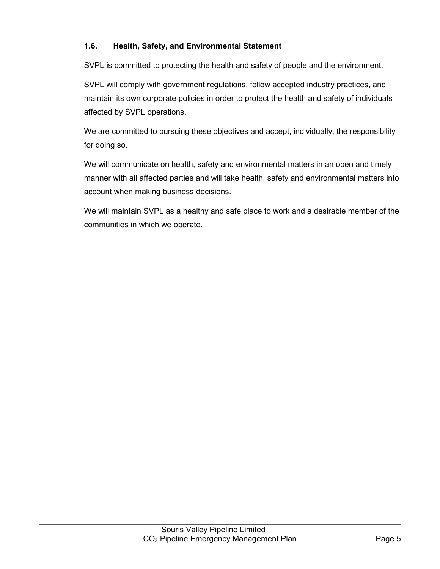### <span id="page-10-0"></span>**1.6. Health, Safety, and Environmental Statement**

SVPL is committed to protecting the health and safety of people and the environment.

SVPL will comply with government regulations, follow accepted industry practices, and maintain its own corporate policies in order to protect the health and safety of individuals affected by SVPL operations.

We are committed to pursuing these objectives and accept, individually, the responsibility for doing so.

We will communicate on health, safety and environmental matters in an open and timely manner with all affected parties and will take health, safety and environmental matters into account when making business decisions.

We will maintain SVPL as a healthy and safe place to work and a desirable member of the communities in which we operate.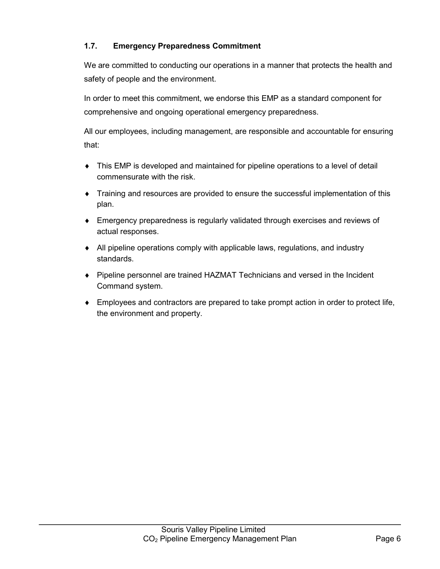### <span id="page-11-0"></span>**1.7. Emergency Preparedness Commitment**

We are committed to conducting our operations in a manner that protects the health and safety of people and the environment.

In order to meet this commitment, we endorse this EMP as a standard component for comprehensive and ongoing operational emergency preparedness.

All our employees, including management, are responsible and accountable for ensuring that:

- ♦ This EMP is developed and maintained for pipeline operations to a level of detail commensurate with the risk.
- ♦ Training and resources are provided to ensure the successful implementation of this plan.
- ♦ Emergency preparedness is regularly validated through exercises and reviews of actual responses.
- ♦ All pipeline operations comply with applicable laws, regulations, and industry standards.
- ♦ Pipeline personnel are trained HAZMAT Technicians and versed in the Incident Command system.
- ♦ Employees and contractors are prepared to take prompt action in order to protect life, the environment and property.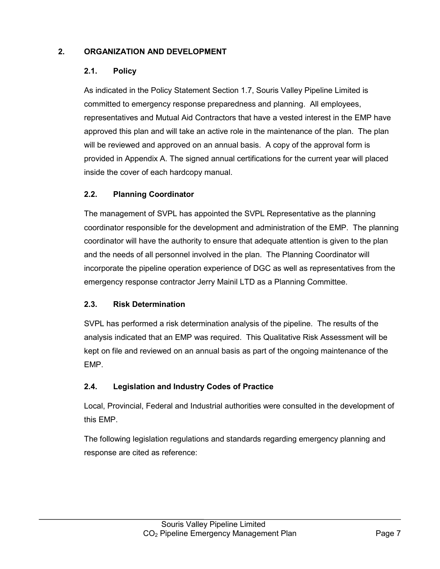### <span id="page-12-1"></span><span id="page-12-0"></span>**2. ORGANIZATION AND DEVELOPMENT**

### **2.1. Policy**

As indicated in the Policy Statement Section 1.7, Souris Valley Pipeline Limited is committed to emergency response preparedness and planning. All employees, representatives and Mutual Aid Contractors that have a vested interest in the EMP have approved this plan and will take an active role in the maintenance of the plan. The plan will be reviewed and approved on an annual basis. A copy of the approval form is provided in Appendix A. The signed annual certifications for the current year will placed inside the cover of each hardcopy manual.

### <span id="page-12-2"></span>**2.2. Planning Coordinator**

The management of SVPL has appointed the SVPL Representative as the planning coordinator responsible for the development and administration of the EMP. The planning coordinator will have the authority to ensure that adequate attention is given to the plan and the needs of all personnel involved in the plan. The Planning Coordinator will incorporate the pipeline operation experience of DGC as well as representatives from the emergency response contractor Jerry Mainil LTD as a Planning Committee.

### <span id="page-12-3"></span>**2.3. Risk Determination**

SVPL has performed a risk determination analysis of the pipeline. The results of the analysis indicated that an EMP was required. This Qualitative Risk Assessment will be kept on file and reviewed on an annual basis as part of the ongoing maintenance of the EMP.

### <span id="page-12-4"></span>**2.4. Legislation and Industry Codes of Practice**

Local, Provincial, Federal and Industrial authorities were consulted in the development of this EMP.

The following legislation regulations and standards regarding emergency planning and response are cited as reference: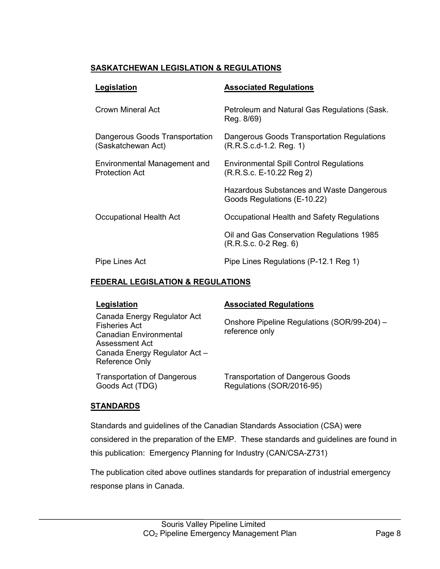### **SASKATCHEWAN LEGISLATION & REGULATIONS**

| Legislation                                                  | <b>Associated Regulations</b>                                              |
|--------------------------------------------------------------|----------------------------------------------------------------------------|
| Crown Mineral Act                                            | Petroleum and Natural Gas Regulations (Sask.<br>Reg. 8/69)                 |
| Dangerous Goods Transportation<br>(Saskatchewan Act)         | Dangerous Goods Transportation Regulations<br>$(R.R.S.c.d-1.2. Reg. 1)$    |
| <b>Environmental Management and</b><br><b>Protection Act</b> | <b>Environmental Spill Control Regulations</b><br>(R.R.S.c. E-10.22 Reg 2) |
|                                                              | Hazardous Substances and Waste Dangerous<br>Goods Regulations (E-10.22)    |
| Occupational Health Act                                      | Occupational Health and Safety Regulations                                 |
|                                                              | Oil and Gas Conservation Regulations 1985<br>$(R.R.S.c. 0-2 Reg. 6)$       |
| Pipe Lines Act                                               | Pipe Lines Regulations (P-12.1 Reg 1)                                      |

### **FEDERAL LEGISLATION & REGULATIONS**

| Legislation                                                                                                                                               | <b>Associated Regulations</b>                                         |
|-----------------------------------------------------------------------------------------------------------------------------------------------------------|-----------------------------------------------------------------------|
| Canada Energy Regulator Act<br><b>Fisheries Act</b><br><b>Canadian Environmental</b><br>Assessment Act<br>Canada Energy Regulator Act -<br>Reference Only | Onshore Pipeline Regulations (SOR/99-204) -<br>reference only         |
| <b>Transportation of Dangerous</b><br>Goods Act (TDG)                                                                                                     | <b>Transportation of Dangerous Goods</b><br>Regulations (SOR/2016-95) |

### **STANDARDS**

Standards and guidelines of the Canadian Standards Association (CSA) were considered in the preparation of the EMP. These standards and guidelines are found in this publication: Emergency Planning for Industry (CAN/CSA-Z731)

The publication cited above outlines standards for preparation of industrial emergency response plans in Canada.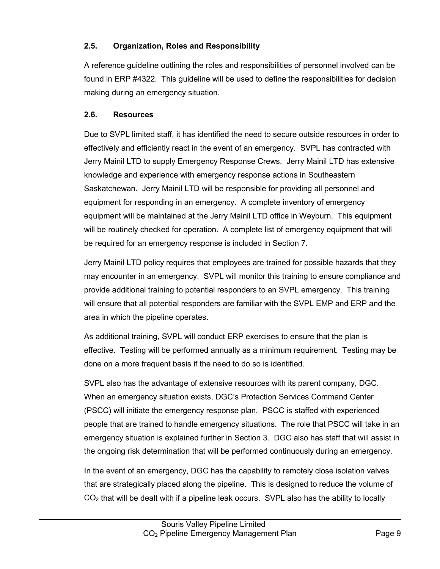### <span id="page-14-0"></span>**2.5. Organization, Roles and Responsibility**

A reference guideline outlining the roles and responsibilities of personnel involved can be found in ERP #4322. This guideline will be used to define the responsibilities for decision making during an emergency situation.

### <span id="page-14-1"></span>**2.6. Resources**

Due to SVPL limited staff, it has identified the need to secure outside resources in order to effectively and efficiently react in the event of an emergency. SVPL has contracted with Jerry Mainil LTD to supply Emergency Response Crews. Jerry Mainil LTD has extensive knowledge and experience with emergency response actions in Southeastern Saskatchewan. Jerry Mainil LTD will be responsible for providing all personnel and equipment for responding in an emergency. A complete inventory of emergency equipment will be maintained at the Jerry Mainil LTD office in Weyburn. This equipment will be routinely checked for operation. A complete list of emergency equipment that will be required for an emergency response is included in Section 7.

Jerry Mainil LTD policy requires that employees are trained for possible hazards that they may encounter in an emergency. SVPL will monitor this training to ensure compliance and provide additional training to potential responders to an SVPL emergency. This training will ensure that all potential responders are familiar with the SVPL EMP and ERP and the area in which the pipeline operates.

As additional training, SVPL will conduct ERP exercises to ensure that the plan is effective. Testing will be performed annually as a minimum requirement. Testing may be done on a more frequent basis if the need to do so is identified.

SVPL also has the advantage of extensive resources with its parent company, DGC. When an emergency situation exists, DGC's Protection Services Command Center (PSCC) will initiate the emergency response plan. PSCC is staffed with experienced people that are trained to handle emergency situations. The role that PSCC will take in an emergency situation is explained further in Section 3. DGC also has staff that will assist in the ongoing risk determination that will be performed continuously during an emergency.

In the event of an emergency, DGC has the capability to remotely close isolation valves that are strategically placed along the pipeline. This is designed to reduce the volume of  $CO<sub>2</sub>$  that will be dealt with if a pipeline leak occurs. SVPL also has the ability to locally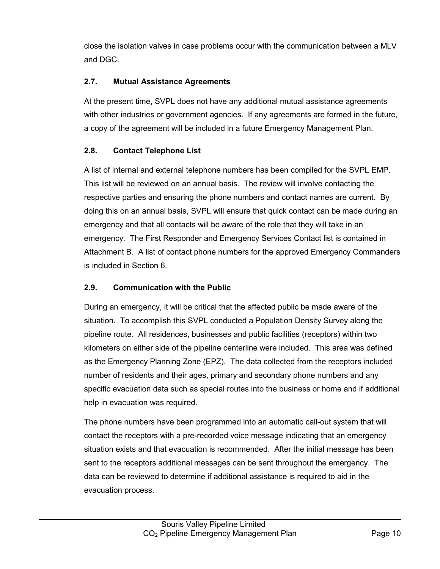close the isolation valves in case problems occur with the communication between a MLV and DGC.

### <span id="page-15-0"></span>**2.7. Mutual Assistance Agreements**

At the present time, SVPL does not have any additional mutual assistance agreements with other industries or government agencies. If any agreements are formed in the future, a copy of the agreement will be included in a future Emergency Management Plan.

### <span id="page-15-1"></span>**2.8. Contact Telephone List**

A list of internal and external telephone numbers has been compiled for the SVPL EMP. This list will be reviewed on an annual basis. The review will involve contacting the respective parties and ensuring the phone numbers and contact names are current. By doing this on an annual basis, SVPL will ensure that quick contact can be made during an emergency and that all contacts will be aware of the role that they will take in an emergency. The First Responder and Emergency Services Contact list is contained in Attachment B. A list of contact phone numbers for the approved Emergency Commanders is included in Section 6.

### <span id="page-15-2"></span>**2.9. Communication with the Public**

During an emergency, it will be critical that the affected public be made aware of the situation. To accomplish this SVPL conducted a Population Density Survey along the pipeline route. All residences, businesses and public facilities (receptors) within two kilometers on either side of the pipeline centerline were included. This area was defined as the Emergency Planning Zone (EPZ). The data collected from the receptors included number of residents and their ages, primary and secondary phone numbers and any specific evacuation data such as special routes into the business or home and if additional help in evacuation was required.

The phone numbers have been programmed into an automatic call-out system that will contact the receptors with a pre-recorded voice message indicating that an emergency situation exists and that evacuation is recommended. After the initial message has been sent to the receptors additional messages can be sent throughout the emergency. The data can be reviewed to determine if additional assistance is required to aid in the evacuation process.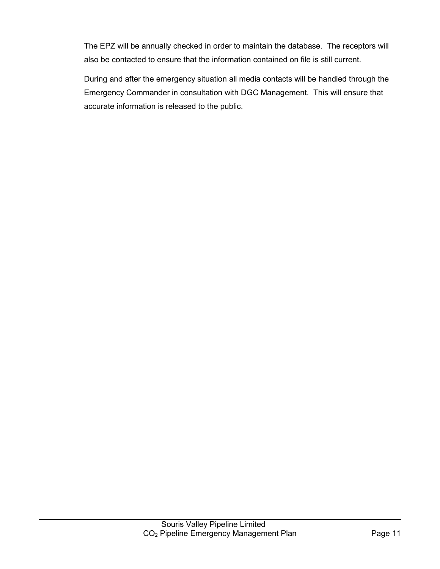The EPZ will be annually checked in order to maintain the database. The receptors will also be contacted to ensure that the information contained on file is still current.

During and after the emergency situation all media contacts will be handled through the Emergency Commander in consultation with DGC Management. This will ensure that accurate information is released to the public.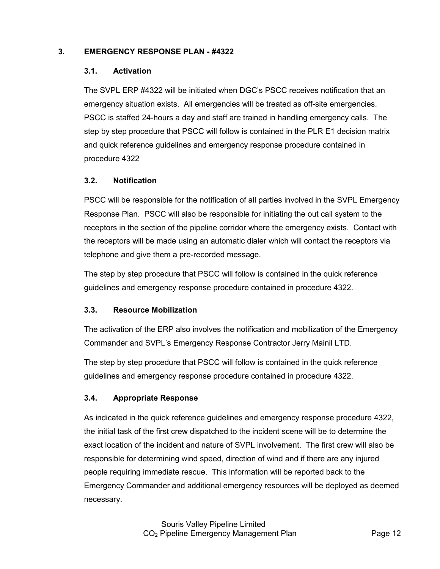### <span id="page-17-1"></span><span id="page-17-0"></span>**3. EMERGENCY RESPONSE PLAN - #4322**

### **3.1. Activation**

The SVPL ERP #4322 will be initiated when DGC's PSCC receives notification that an emergency situation exists. All emergencies will be treated as off-site emergencies. PSCC is staffed 24-hours a day and staff are trained in handling emergency calls. The step by step procedure that PSCC will follow is contained in the PLR E1 decision matrix and quick reference guidelines and emergency response procedure contained in procedure 4322

### <span id="page-17-2"></span>**3.2. Notification**

PSCC will be responsible for the notification of all parties involved in the SVPL Emergency Response Plan. PSCC will also be responsible for initiating the out call system to the receptors in the section of the pipeline corridor where the emergency exists. Contact with the receptors will be made using an automatic dialer which will contact the receptors via telephone and give them a pre-recorded message.

The step by step procedure that PSCC will follow is contained in the quick reference guidelines and emergency response procedure contained in procedure 4322.

### <span id="page-17-3"></span>**3.3. Resource Mobilization**

The activation of the ERP also involves the notification and mobilization of the Emergency Commander and SVPL's Emergency Response Contractor Jerry Mainil LTD.

The step by step procedure that PSCC will follow is contained in the quick reference guidelines and emergency response procedure contained in procedure 4322.

### <span id="page-17-4"></span>**3.4. Appropriate Response**

As indicated in the quick reference guidelines and emergency response procedure 4322, the initial task of the first crew dispatched to the incident scene will be to determine the exact location of the incident and nature of SVPL involvement. The first crew will also be responsible for determining wind speed, direction of wind and if there are any injured people requiring immediate rescue. This information will be reported back to the Emergency Commander and additional emergency resources will be deployed as deemed necessary.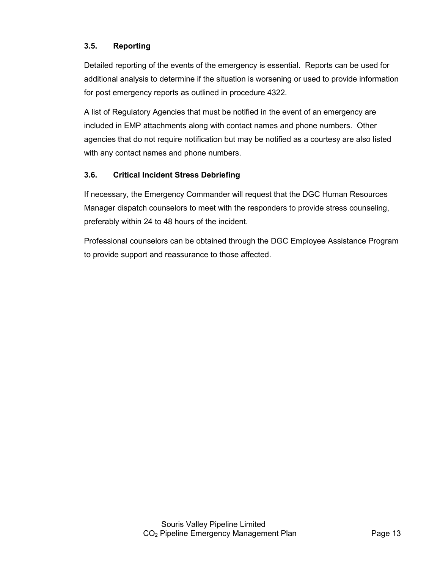### <span id="page-18-0"></span>**3.5. Reporting**

Detailed reporting of the events of the emergency is essential. Reports can be used for additional analysis to determine if the situation is worsening or used to provide information for post emergency reports as outlined in procedure 4322.

A list of Regulatory Agencies that must be notified in the event of an emergency are included in EMP attachments along with contact names and phone numbers. Other agencies that do not require notification but may be notified as a courtesy are also listed with any contact names and phone numbers.

### <span id="page-18-1"></span>**3.6. Critical Incident Stress Debriefing**

If necessary, the Emergency Commander will request that the DGC Human Resources Manager dispatch counselors to meet with the responders to provide stress counseling, preferably within 24 to 48 hours of the incident.

Professional counselors can be obtained through the DGC Employee Assistance Program to provide support and reassurance to those affected.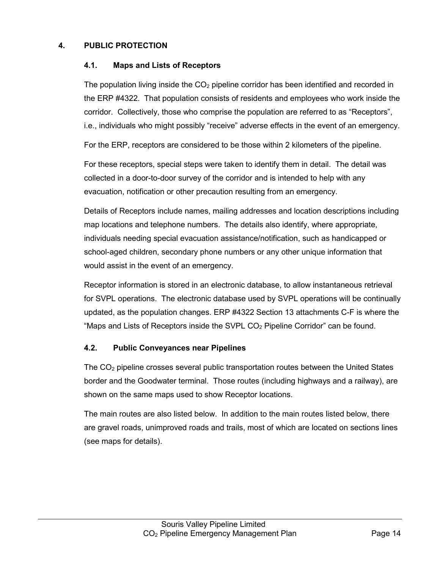### <span id="page-19-1"></span><span id="page-19-0"></span>**4. PUBLIC PROTECTION**

### **4.1. Maps and Lists of Receptors**

The population living inside the  $CO<sub>2</sub>$  pipeline corridor has been identified and recorded in the ERP #4322. That population consists of residents and employees who work inside the corridor. Collectively, those who comprise the population are referred to as "Receptors", i.e., individuals who might possibly "receive" adverse effects in the event of an emergency.

For the ERP, receptors are considered to be those within 2 kilometers of the pipeline.

For these receptors, special steps were taken to identify them in detail. The detail was collected in a door-to-door survey of the corridor and is intended to help with any evacuation, notification or other precaution resulting from an emergency.

Details of Receptors include names, mailing addresses and location descriptions including map locations and telephone numbers. The details also identify, where appropriate, individuals needing special evacuation assistance/notification, such as handicapped or school-aged children, secondary phone numbers or any other unique information that would assist in the event of an emergency.

Receptor information is stored in an electronic database, to allow instantaneous retrieval for SVPL operations. The electronic database used by SVPL operations will be continually updated, as the population changes. ERP #4322 Section 13 attachments C-F is where the "Maps and Lists of Receptors inside the SVPL  $CO<sub>2</sub>$  Pipeline Corridor" can be found.

### <span id="page-19-2"></span>**4.2. Public Conveyances near Pipelines**

The  $CO<sub>2</sub>$  pipeline crosses several public transportation routes between the United States border and the Goodwater terminal. Those routes (including highways and a railway), are shown on the same maps used to show Receptor locations.

The main routes are also listed below. In addition to the main routes listed below, there are gravel roads, unimproved roads and trails, most of which are located on sections lines (see maps for details).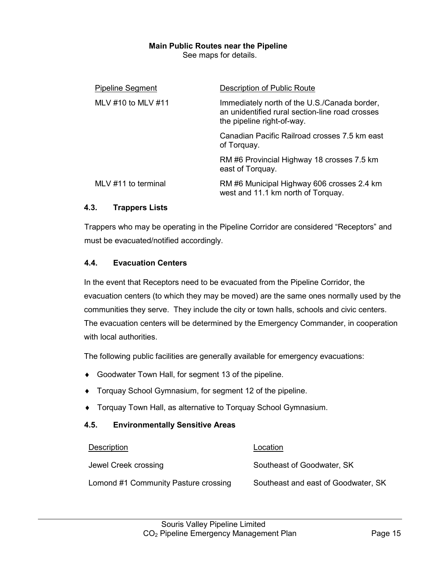### **Main Public Routes near the Pipeline**

See maps for details.

| <b>Pipeline Segment</b> | Description of Public Route                                                                                                   |
|-------------------------|-------------------------------------------------------------------------------------------------------------------------------|
| MLV #10 to MLV #11      | Immediately north of the U.S./Canada border,<br>an unidentified rural section-line road crosses<br>the pipeline right-of-way. |
|                         | Canadian Pacific Railroad crosses 7.5 km east<br>of Torquay.                                                                  |
|                         | RM #6 Provincial Highway 18 crosses 7.5 km<br>east of Torquay.                                                                |
| MLV #11 to terminal     | RM #6 Municipal Highway 606 crosses 2.4 km<br>west and 11.1 km north of Torquay.                                              |

### <span id="page-20-0"></span>**4.3. Trappers Lists**

Trappers who may be operating in the Pipeline Corridor are considered "Receptors" and must be evacuated/notified accordingly.

### <span id="page-20-1"></span>**4.4. Evacuation Centers**

In the event that Receptors need to be evacuated from the Pipeline Corridor, the evacuation centers (to which they may be moved) are the same ones normally used by the communities they serve. They include the city or town halls, schools and civic centers. The evacuation centers will be determined by the Emergency Commander, in cooperation with local authorities.

The following public facilities are generally available for emergency evacuations:

- ♦ Goodwater Town Hall, for segment 13 of the pipeline.
- ♦ Torquay School Gymnasium, for segment 12 of the pipeline.
- ♦ Torquay Town Hall, as alternative to Torquay School Gymnasium.

### <span id="page-20-2"></span>**4.5. Environmentally Sensitive Areas**

| Description                          | Location                            |
|--------------------------------------|-------------------------------------|
| Jewel Creek crossing                 | Southeast of Goodwater, SK          |
| Lomond #1 Community Pasture crossing | Southeast and east of Goodwater, SK |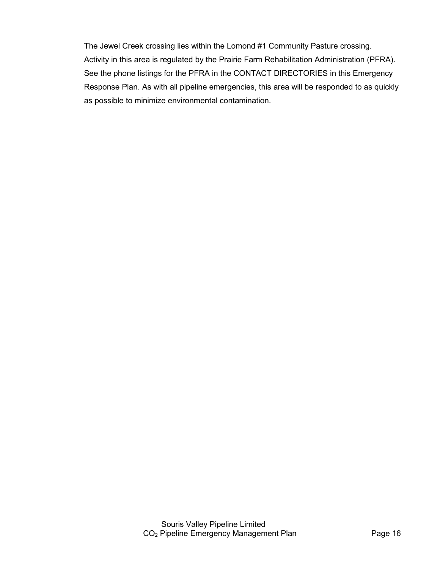The Jewel Creek crossing lies within the Lomond #1 Community Pasture crossing. Activity in this area is regulated by the Prairie Farm Rehabilitation Administration (PFRA). See the phone listings for the PFRA in the CONTACT DIRECTORIES in this Emergency Response Plan. As with all pipeline emergencies, this area will be responded to as quickly as possible to minimize environmental contamination.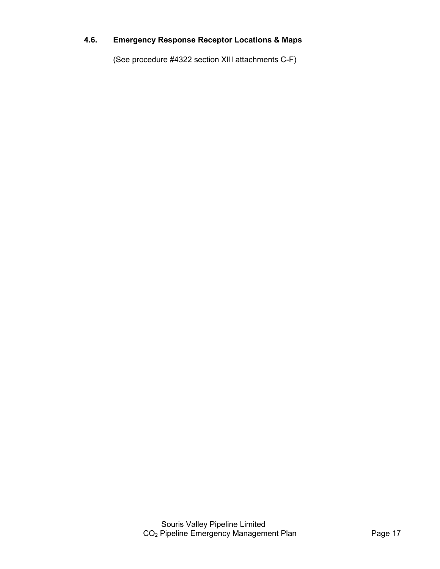## <span id="page-22-0"></span>**4.6. Emergency Response Receptor Locations & Maps**

(See procedure #4322 section XIII attachments C-F)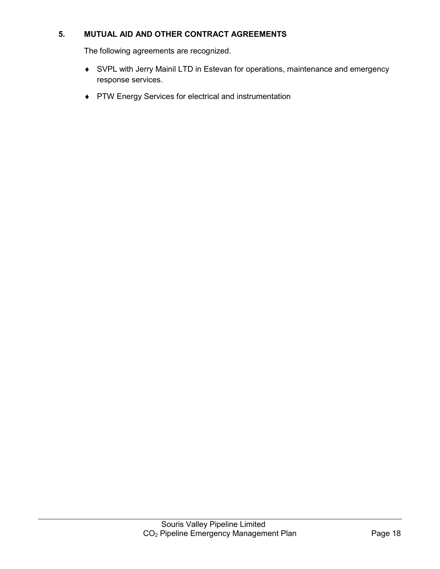### <span id="page-23-0"></span>**5. MUTUAL AID AND OTHER CONTRACT AGREEMENTS**

The following agreements are recognized.

- ♦ SVPL with Jerry Mainil LTD in Estevan for operations, maintenance and emergency response services.
- ♦ PTW Energy Services for electrical and instrumentation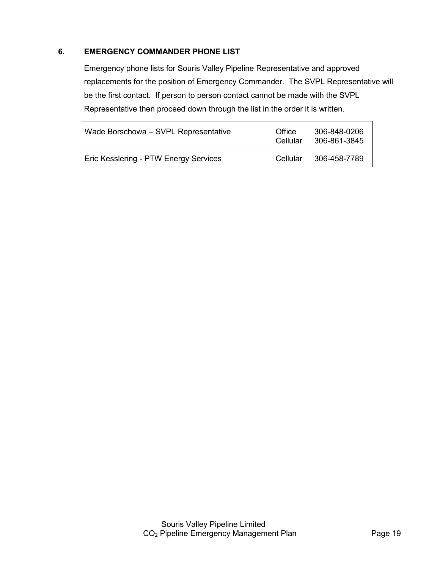### <span id="page-24-0"></span>**6. EMERGENCY COMMANDER PHONE LIST**

Emergency phone lists for Souris Valley Pipeline Representative and approved replacements for the position of Emergency Commander. The SVPL Representative will be the first contact. If person to person contact cannot be made with the SVPL Representative then proceed down through the list in the order it is written.

| Wade Borschowa - SVPL Representative  | Office<br>Cellular | 306-848-0206<br>306-861-3845 |
|---------------------------------------|--------------------|------------------------------|
| Eric Kesslering - PTW Energy Services | Cellular           | 306-458-7789                 |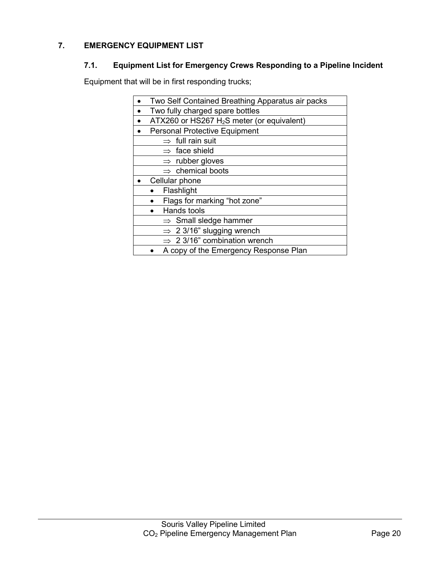## <span id="page-25-1"></span><span id="page-25-0"></span>**7. EMERGENCY EQUIPMENT LIST**

### **7.1. Equipment List for Emergency Crews Responding to a Pipeline Incident**

Equipment that will be in first responding trucks;

| Two Self Contained Breathing Apparatus air packs       |
|--------------------------------------------------------|
| Two fully charged spare bottles                        |
| ATX260 or HS267 H <sub>2</sub> S meter (or equivalent) |
| <b>Personal Protective Equipment</b>                   |
| $\Rightarrow$ full rain suit                           |
| $\Rightarrow$ face shield                              |
| $\Rightarrow$ rubber gloves                            |
| $\Rightarrow$ chemical boots                           |
| Cellular phone                                         |
| Flashlight                                             |
| Flags for marking "hot zone"                           |
| Hands tools                                            |
| $\Rightarrow$ Small sledge hammer                      |
| $\Rightarrow$ 2 3/16" slugging wrench                  |
| $\Rightarrow$ 2 3/16" combination wrench               |
| A copy of the Emergency Response Plan                  |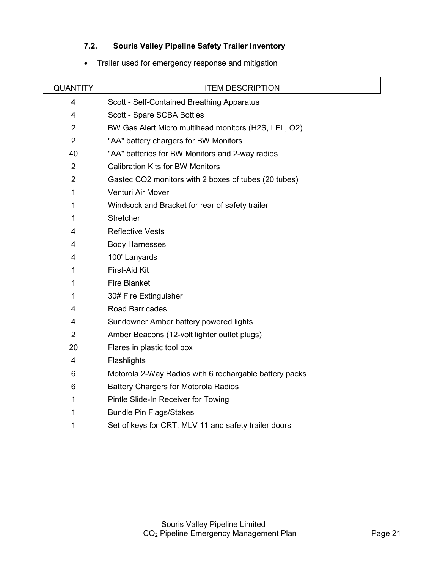### **7.2. Souris Valley Pipeline Safety Trailer Inventory**

<span id="page-26-0"></span>

| <b>QUANTITY</b> | <b>ITEM DESCRIPTION</b>                                |
|-----------------|--------------------------------------------------------|
| $\overline{4}$  | Scott - Self-Contained Breathing Apparatus             |
| 4               | Scott - Spare SCBA Bottles                             |
| $\overline{2}$  | BW Gas Alert Micro multihead monitors (H2S, LEL, O2)   |
| $\overline{2}$  | "AA" battery chargers for BW Monitors                  |
| 40              | "AA" batteries for BW Monitors and 2-way radios        |
| 2               | <b>Calibration Kits for BW Monitors</b>                |
| $\overline{2}$  | Gastec CO2 monitors with 2 boxes of tubes (20 tubes)   |
| 1               | Venturi Air Mover                                      |
| 1               | Windsock and Bracket for rear of safety trailer        |
| 1               | <b>Stretcher</b>                                       |
| 4               | <b>Reflective Vests</b>                                |
| 4               | <b>Body Harnesses</b>                                  |
| 4               | 100' Lanyards                                          |
| 1               | First-Aid Kit                                          |
| 1               | <b>Fire Blanket</b>                                    |
| 1               | 30# Fire Extinguisher                                  |
| 4               | <b>Road Barricades</b>                                 |
| 4               | Sundowner Amber battery powered lights                 |
| 2               | Amber Beacons (12-volt lighter outlet plugs)           |
| 20              | Flares in plastic tool box                             |
| 4               | Flashlights                                            |
| 6               | Motorola 2-Way Radios with 6 rechargable battery packs |
| 6               | <b>Battery Chargers for Motorola Radios</b>            |
| 1               | Pintle Slide-In Receiver for Towing                    |
| 1               | <b>Bundle Pin Flags/Stakes</b>                         |
| 1               | Set of keys for CRT, MLV 11 and safety trailer doors   |

### • Trailer used for emergency response and mitigation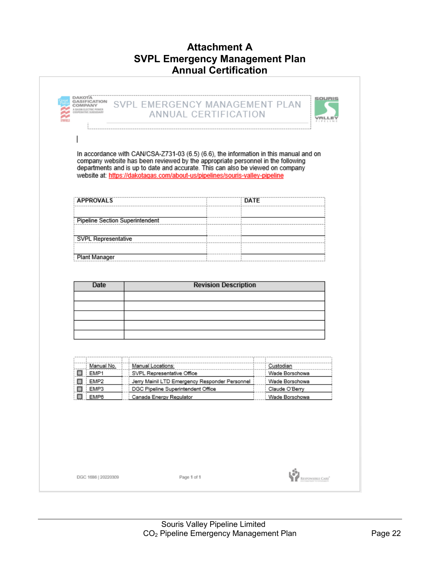## **Attachment A SVPL Emergency Management Plan Annual Certification**

<span id="page-27-0"></span>

|                                        | website at: https://dakotagas.com/about-us/pipelines/souris-valley-pipeline          |                                  |
|----------------------------------------|--------------------------------------------------------------------------------------|----------------------------------|
|                                        |                                                                                      |                                  |
| <b>APPROVALS</b>                       | DATE                                                                                 |                                  |
| <b>Pipeline Section Superintendent</b> |                                                                                      |                                  |
|                                        |                                                                                      |                                  |
| SVPL Representative                    |                                                                                      |                                  |
| <b>Plant Manager</b>                   |                                                                                      |                                  |
|                                        |                                                                                      |                                  |
|                                        |                                                                                      |                                  |
|                                        |                                                                                      |                                  |
| Date                                   | <b>Revision Description</b>                                                          |                                  |
|                                        |                                                                                      |                                  |
|                                        |                                                                                      |                                  |
|                                        |                                                                                      |                                  |
|                                        |                                                                                      |                                  |
|                                        |                                                                                      |                                  |
| Manual No.                             | Manual Locations:                                                                    | Custodian                        |
| EMP1<br>□                              | SVPL Representative Office                                                           | Wade Borschowa                   |
| EMP <sub>2</sub><br>EMP3               | Jerry Mainil LTD Emergency Responder Personnel<br>DGC Pipeline Superintendent Office | Wade Borschowa<br>Claude O'Berry |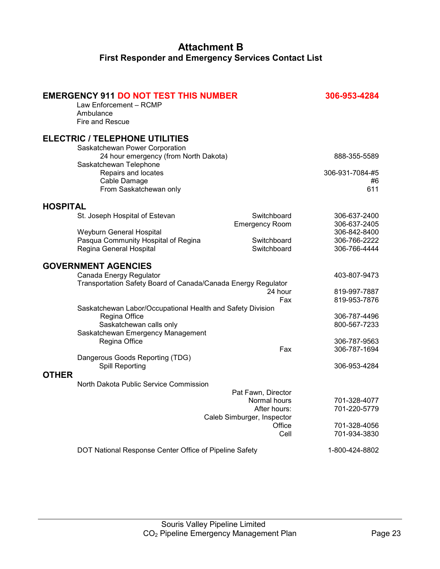## **Attachment B First Responder and Emergency Services Contact List**

<span id="page-28-0"></span>

|                 | <b>EMERGENCY 911 DO NOT TEST THIS NUMBER</b><br>Law Enforcement - RCMP<br>Ambulance      |                                      | 306-953-4284                 |
|-----------------|------------------------------------------------------------------------------------------|--------------------------------------|------------------------------|
|                 | <b>Fire and Rescue</b>                                                                   |                                      |                              |
|                 | <b>ELECTRIC / TELEPHONE UTILITIES</b><br>Saskatchewan Power Corporation                  |                                      |                              |
|                 | 24 hour emergency (from North Dakota)<br>Saskatchewan Telephone                          |                                      | 888-355-5589                 |
|                 | Repairs and locates<br>Cable Damage<br>From Saskatchewan only                            |                                      | 306-931-7084-#5<br>#6<br>611 |
| <b>HOSPITAL</b> |                                                                                          |                                      |                              |
|                 | St. Joseph Hospital of Estevan                                                           | Switchboard<br><b>Emergency Room</b> | 306-637-2400<br>306-637-2405 |
|                 | Weyburn General Hospital                                                                 |                                      | 306-842-8400                 |
|                 | Pasqua Community Hospital of Regina                                                      | Switchboard                          | 306-766-2222                 |
|                 | Regina General Hospital                                                                  | Switchboard                          | 306-766-4444                 |
|                 | <b>GOVERNMENT AGENCIES</b>                                                               |                                      |                              |
|                 | Canada Energy Regulator<br>Transportation Safety Board of Canada/Canada Energy Regulator |                                      | 403-807-9473                 |
|                 |                                                                                          | 24 hour                              | 819-997-7887                 |
|                 |                                                                                          | Fax                                  | 819-953-7876                 |
|                 | Saskatchewan Labor/Occupational Health and Safety Division<br>Regina Office              |                                      | 306-787-4496                 |
|                 | Saskatchewan calls only                                                                  |                                      | 800-567-7233                 |
|                 | Saskatchewan Emergency Management                                                        |                                      |                              |
|                 | Regina Office                                                                            |                                      | 306-787-9563                 |
|                 |                                                                                          | Fax                                  | 306-787-1694                 |
|                 | Dangerous Goods Reporting (TDG)<br><b>Spill Reporting</b>                                |                                      | 306-953-4284                 |
| <b>OTHER</b>    | North Dakota Public Service Commission                                                   |                                      |                              |
|                 |                                                                                          | Pat Fawn, Director                   |                              |
|                 |                                                                                          | Normal hours                         | 701-328-4077                 |
|                 |                                                                                          | After hours:                         | 701-220-5779                 |
|                 |                                                                                          | Caleb Simburger, Inspector           |                              |
|                 |                                                                                          | Office<br>Cell                       | 701-328-4056<br>701-934-3830 |
|                 |                                                                                          |                                      |                              |
|                 | DOT National Response Center Office of Pipeline Safety                                   |                                      | 1-800-424-8802               |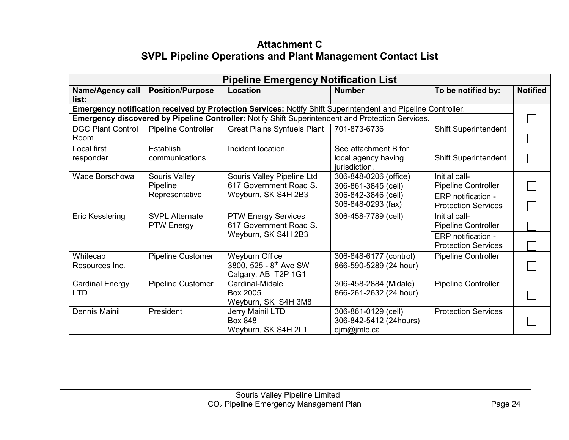## **Attachment C SVPL Pipeline Operations and Plant Management Contact List**

<span id="page-29-0"></span>

| <b>Pipeline Emergency Notification List</b> |                                            |                                                                                                              |                                                              |                                                  |                 |
|---------------------------------------------|--------------------------------------------|--------------------------------------------------------------------------------------------------------------|--------------------------------------------------------------|--------------------------------------------------|-----------------|
| <b>Name/Agency call</b><br>list:            | <b>Position/Purpose</b>                    | <b>Location</b>                                                                                              | <b>Number</b>                                                | To be notified by:                               | <b>Notified</b> |
|                                             |                                            | Emergency notification received by Protection Services: Notify Shift Superintendent and Pipeline Controller. |                                                              |                                                  |                 |
|                                             |                                            | Emergency discovered by Pipeline Controller: Notify Shift Superintendent and Protection Services.            |                                                              |                                                  |                 |
| <b>DGC Plant Control</b><br>Room            | <b>Pipeline Controller</b>                 | <b>Great Plains Synfuels Plant</b>                                                                           | 701-873-6736                                                 | <b>Shift Superintendent</b>                      |                 |
| Local first<br>responder                    | Establish<br>communications                | Incident location.                                                                                           | See attachment B for<br>local agency having<br>jurisdiction. | <b>Shift Superintendent</b>                      |                 |
| Wade Borschowa                              | Souris Valley<br>Pipeline                  | Souris Valley Pipeline Ltd<br>617 Government Road S.                                                         | 306-848-0206 (office)<br>306-861-3845 (cell)                 | Initial call-<br><b>Pipeline Controller</b>      |                 |
|                                             | Representative                             | Weyburn, SK S4H 2B3                                                                                          | 306-842-3846 (cell)<br>306-848-0293 (fax)                    | ERP notification -<br><b>Protection Services</b> |                 |
| Eric Kesslering                             | <b>SVPL Alternate</b><br><b>PTW Energy</b> | <b>PTW Energy Services</b><br>617 Government Road S.                                                         | 306-458-7789 (cell)                                          | Initial call-<br><b>Pipeline Controller</b>      |                 |
|                                             |                                            | Weyburn, SK S4H 2B3                                                                                          |                                                              | ERP notification -<br><b>Protection Services</b> |                 |
| Whitecap<br>Resources Inc.                  | <b>Pipeline Customer</b>                   | <b>Weyburn Office</b><br>3800, 525 - 8th Ave SW<br>Calgary, AB T2P 1G1                                       | 306-848-6177 (control)<br>866-590-5289 (24 hour)             | <b>Pipeline Controller</b>                       |                 |
| <b>Cardinal Energy</b><br>LTD               | <b>Pipeline Customer</b>                   | Cardinal-Midale<br>Box 2005<br>Weyburn, SK S4H 3M8                                                           | 306-458-2884 (Midale)<br>866-261-2632 (24 hour)              | <b>Pipeline Controller</b>                       |                 |
| Dennis Mainil                               | President                                  | Jerry Mainil LTD<br><b>Box 848</b><br>Weyburn, SK S4H 2L1                                                    | 306-861-0129 (cell)<br>306-842-5412 (24hours)<br>dim@jmlc.ca | <b>Protection Services</b>                       |                 |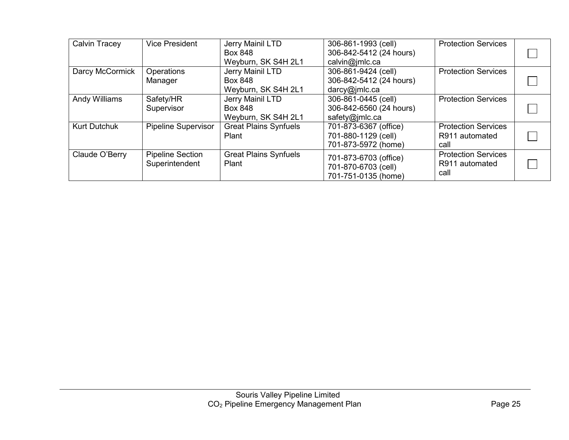| <b>Calvin Tracey</b> | <b>Vice President</b>                     | Jerry Mainil LTD<br><b>Box 848</b><br>Weyburn, SK S4H 2L1 | 306-861-1993 (cell)<br>306-842-5412 (24 hours)<br>calvin@jmlc.ca    | <b>Protection Services</b>                           |  |
|----------------------|-------------------------------------------|-----------------------------------------------------------|---------------------------------------------------------------------|------------------------------------------------------|--|
| Darcy McCormick      | Operations<br>Manager                     | Jerry Mainil LTD<br><b>Box 848</b><br>Weyburn, SK S4H 2L1 | 306-861-9424 (cell)<br>306-842-5412 (24 hours)<br>darcy@jmlc.ca     | <b>Protection Services</b>                           |  |
| Andy Williams        | Safety/HR<br>Supervisor                   | Jerry Mainil LTD<br><b>Box 848</b><br>Weyburn, SK S4H 2L1 | 306-861-0445 (cell)<br>306-842-6560 (24 hours)<br>safety@jmlc.ca    | <b>Protection Services</b>                           |  |
| <b>Kurt Dutchuk</b>  | Pipeline Supervisor                       | <b>Great Plains Synfuels</b><br>Plant                     | 701-873-6367 (office)<br>701-880-1129 (cell)<br>701-873-5972 (home) | <b>Protection Services</b><br>R911 automated<br>call |  |
| Claude O'Berry       | <b>Pipeline Section</b><br>Superintendent | <b>Great Plains Synfuels</b><br>Plant                     | 701-873-6703 (office)<br>701-870-6703 (cell)<br>701-751-0135 (home) | <b>Protection Services</b><br>R911 automated<br>call |  |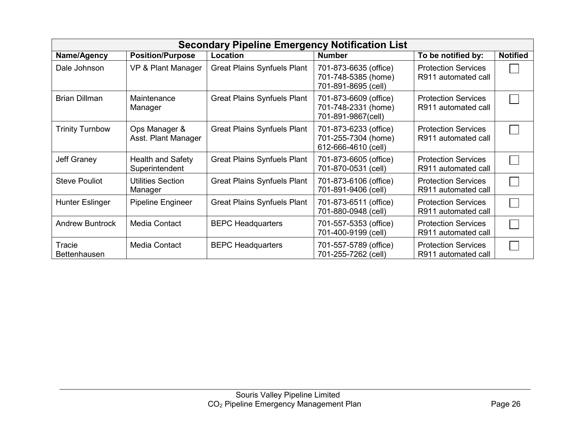| <b>Secondary Pipeline Emergency Notification List</b> |                                            |                                    |                                                                     |                                                   |                 |
|-------------------------------------------------------|--------------------------------------------|------------------------------------|---------------------------------------------------------------------|---------------------------------------------------|-----------------|
| Name/Agency                                           | <b>Position/Purpose</b>                    | Location                           | <b>Number</b>                                                       | To be notified by:                                | <b>Notified</b> |
| Dale Johnson                                          | VP & Plant Manager                         | <b>Great Plains Synfuels Plant</b> | 701-873-6635 (office)<br>701-748-5385 (home)<br>701-891-8695 (cell) | <b>Protection Services</b><br>R911 automated call |                 |
| <b>Brian Dillman</b>                                  | Maintenance<br>Manager                     | <b>Great Plains Synfuels Plant</b> | 701-873-6609 (office)<br>701-748-2331 (home)<br>701-891-9867(cell)  | <b>Protection Services</b><br>R911 automated call |                 |
| <b>Trinity Turnbow</b>                                | Ops Manager &<br>Asst. Plant Manager       | <b>Great Plains Synfuels Plant</b> | 701-873-6233 (office)<br>701-255-7304 (home)<br>612-666-4610 (cell) | <b>Protection Services</b><br>R911 automated call |                 |
| <b>Jeff Graney</b>                                    | <b>Health and Safety</b><br>Superintendent | <b>Great Plains Synfuels Plant</b> | 701-873-6605 (office)<br>701-870-0531 (cell)                        | <b>Protection Services</b><br>R911 automated call |                 |
| <b>Steve Pouliot</b>                                  | <b>Utilities Section</b><br>Manager        | <b>Great Plains Synfuels Plant</b> | 701-873-6106 (office)<br>701-891-9406 (cell)                        | <b>Protection Services</b><br>R911 automated call |                 |
| <b>Hunter Eslinger</b>                                | Pipeline Engineer                          | <b>Great Plains Synfuels Plant</b> | 701-873-6511 (office)<br>701-880-0948 (cell)                        | <b>Protection Services</b><br>R911 automated call |                 |
| <b>Andrew Buntrock</b>                                | <b>Media Contact</b>                       | <b>BEPC Headquarters</b>           | 701-557-5353 (office)<br>701-400-9199 (cell)                        | <b>Protection Services</b><br>R911 automated call |                 |
| Tracie<br>Bettenhausen                                | Media Contact                              | <b>BEPC Headquarters</b>           | 701-557-5789 (office)<br>701-255-7262 (cell)                        | <b>Protection Services</b><br>R911 automated call |                 |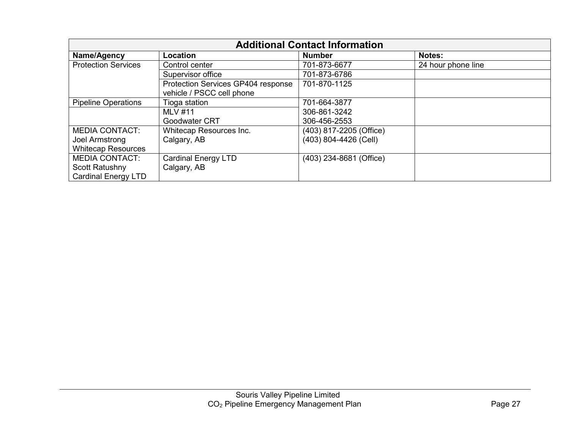| <b>Additional Contact Information</b> |                                    |                         |                    |
|---------------------------------------|------------------------------------|-------------------------|--------------------|
| Name/Agency                           | Location                           | <b>Number</b>           | <b>Notes:</b>      |
| <b>Protection Services</b>            | Control center                     | 701-873-6677            | 24 hour phone line |
|                                       | Supervisor office                  | 701-873-6786            |                    |
|                                       | Protection Services GP404 response | 701-870-1125            |                    |
|                                       | vehicle / PSCC cell phone          |                         |                    |
| <b>Pipeline Operations</b>            | Tioga station                      | 701-664-3877            |                    |
|                                       | <b>MLV #11</b>                     | 306-861-3242            |                    |
|                                       | Goodwater CRT                      | 306-456-2553            |                    |
| <b>MEDIA CONTACT:</b>                 | Whitecap Resources Inc.            | (403) 817-2205 (Office) |                    |
| Joel Armstrong                        | Calgary, AB                        | (403) 804-4426 (Cell)   |                    |
| <b>Whitecap Resources</b>             |                                    |                         |                    |
| <b>MEDIA CONTACT:</b>                 | <b>Cardinal Energy LTD</b>         | (403) 234-8681 (Office) |                    |
| Scott Ratushny                        | Calgary, AB                        |                         |                    |
| <b>Cardinal Energy LTD</b>            |                                    |                         |                    |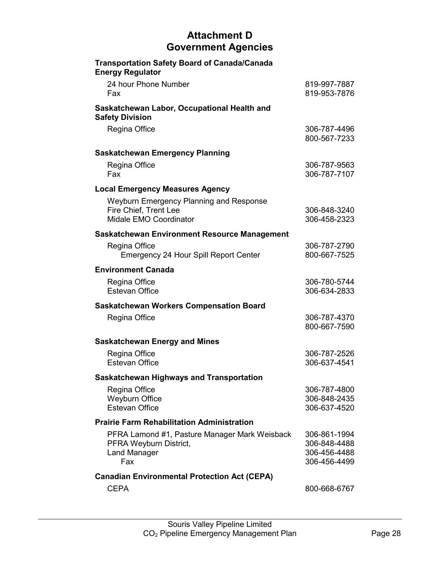## **Attachment D Government Agencies**

<span id="page-33-0"></span>

| <b>Transportation Safety Board of Canada/Canada</b><br><b>Energy Regulator</b>                        |                                                              |
|-------------------------------------------------------------------------------------------------------|--------------------------------------------------------------|
| 24 hour Phone Number<br>Fax                                                                           | 819-997-7887<br>819-953-7876                                 |
| Saskatchewan Labor, Occupational Health and<br><b>Safety Division</b>                                 |                                                              |
| Regina Office                                                                                         | 306-787-4496<br>800-567-7233                                 |
| <b>Saskatchewan Emergency Planning</b>                                                                |                                                              |
| Regina Office<br>Fax                                                                                  | 306-787-9563<br>306-787-7107                                 |
| <b>Local Emergency Measures Agency</b>                                                                |                                                              |
| Weyburn Emergency Planning and Response                                                               |                                                              |
| Fire Chief, Trent Lee<br>Midale EMO Coordinator                                                       | 306-848-3240<br>306-458-2323                                 |
| <b>Saskatchewan Environment Resource Management</b>                                                   |                                                              |
| Regina Office<br><b>Emergency 24 Hour Spill Report Center</b>                                         | 306-787-2790<br>800-667-7525                                 |
| <b>Environment Canada</b>                                                                             |                                                              |
| Regina Office<br><b>Estevan Office</b>                                                                | 306-780-5744<br>306-634-2833                                 |
| <b>Saskatchewan Workers Compensation Board</b>                                                        |                                                              |
| Regina Office                                                                                         | 306-787-4370<br>800-667-7590                                 |
| <b>Saskatchewan Energy and Mines</b>                                                                  |                                                              |
| Regina Office<br><b>Estevan Office</b>                                                                | 306-787-2526<br>306-637-4541                                 |
| <b>Saskatchewan Highways and Transportation</b>                                                       |                                                              |
| Regina Office<br><b>Weyburn Office</b><br><b>Estevan Office</b>                                       | 306-787-4800<br>306-848-2435<br>306-637-4520                 |
| <b>Prairie Farm Rehabilitation Administration</b>                                                     |                                                              |
| PFRA Lamond #1, Pasture Manager Mark Weisback<br>PFRA Weyburn District,<br><b>Land Manager</b><br>Fax | 306-861-1994<br>306-848-4488<br>306-456-4488<br>306-456-4499 |
| <b>Canadian Environmental Protection Act (CEPA)</b>                                                   |                                                              |
| <b>CEPA</b>                                                                                           | 800-668-6767                                                 |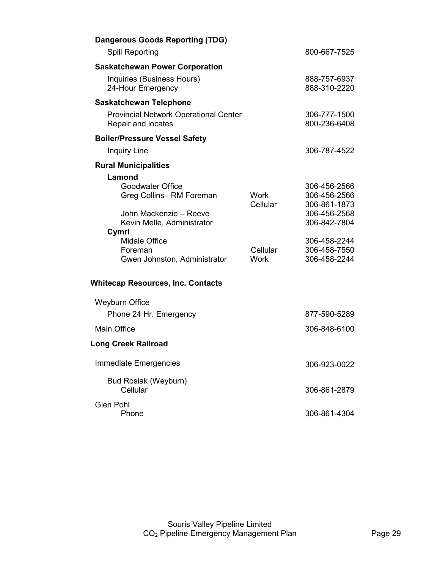|                                                    | 800-667-7525                                                                                                                 |
|----------------------------------------------------|------------------------------------------------------------------------------------------------------------------------------|
|                                                    |                                                                                                                              |
|                                                    | 888-757-6937<br>888-310-2220                                                                                                 |
|                                                    |                                                                                                                              |
|                                                    | 306-777-1500<br>800-236-6408                                                                                                 |
|                                                    |                                                                                                                              |
|                                                    | 306-787-4522                                                                                                                 |
|                                                    |                                                                                                                              |
| <b>Work</b><br>Cellular<br>Cellular<br><b>Work</b> | 306-456-2566<br>306-456-2566<br>306-861-1873<br>306-456-2568<br>306-842-7804<br>306-458-2244<br>306-458-7550<br>306-458-2244 |
|                                                    |                                                                                                                              |
|                                                    | 877-590-5289                                                                                                                 |
|                                                    | 306-848-6100                                                                                                                 |
|                                                    |                                                                                                                              |
|                                                    | 306-923-0022                                                                                                                 |
|                                                    | 306-861-2879                                                                                                                 |
|                                                    | 306-861-4304                                                                                                                 |
|                                                    |                                                                                                                              |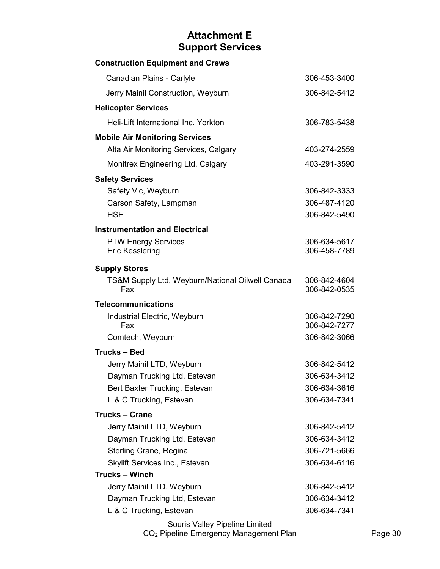## **Attachment E Support Services**

<span id="page-35-0"></span>

| <b>Construction Equipment and Crews</b>          |                              |
|--------------------------------------------------|------------------------------|
| Canadian Plains - Carlyle                        | 306-453-3400                 |
| Jerry Mainil Construction, Weyburn               | 306-842-5412                 |
| <b>Helicopter Services</b>                       |                              |
| Heli-Lift International Inc. Yorkton             | 306-783-5438                 |
| <b>Mobile Air Monitoring Services</b>            |                              |
| Alta Air Monitoring Services, Calgary            | 403-274-2559                 |
| Monitrex Engineering Ltd, Calgary                | 403-291-3590                 |
| <b>Safety Services</b>                           |                              |
| Safety Vic, Weyburn                              | 306-842-3333                 |
| Carson Safety, Lampman                           | 306-487-4120                 |
| <b>HSE</b>                                       | 306-842-5490                 |
| <b>Instrumentation and Electrical</b>            |                              |
| <b>PTW Energy Services</b>                       | 306-634-5617                 |
| <b>Eric Kesslering</b>                           | 306-458-7789                 |
| <b>Supply Stores</b>                             |                              |
| TS&M Supply Ltd, Weyburn/National Oilwell Canada | 306-842-4604                 |
| Fax                                              | 306-842-0535                 |
| <b>Telecommunications</b>                        |                              |
| Industrial Electric, Weyburn<br>Fax              | 306-842-7290<br>306-842-7277 |
| Comtech, Weyburn                                 | 306-842-3066                 |
| <b>Trucks-Bed</b>                                |                              |
| Jerry Mainil LTD, Weyburn                        | 306-842-5412                 |
| Dayman Trucking Ltd, Estevan                     | 306-634-3412                 |
| Bert Baxter Trucking, Estevan                    | 306-634-3616                 |
| L & C Trucking, Estevan                          | 306-634-7341                 |
| <b>Trucks - Crane</b>                            |                              |
| Jerry Mainil LTD, Weyburn                        | 306-842-5412                 |
| Dayman Trucking Ltd, Estevan                     | 306-634-3412                 |
| Sterling Crane, Regina                           | 306-721-5666                 |
| Skylift Services Inc., Estevan                   | 306-634-6116                 |
| <b>Trucks - Winch</b>                            |                              |
| Jerry Mainil LTD, Weyburn                        | 306-842-5412                 |
| Dayman Trucking Ltd, Estevan                     | 306-634-3412                 |
| L & C Trucking, Estevan                          | 306-634-7341                 |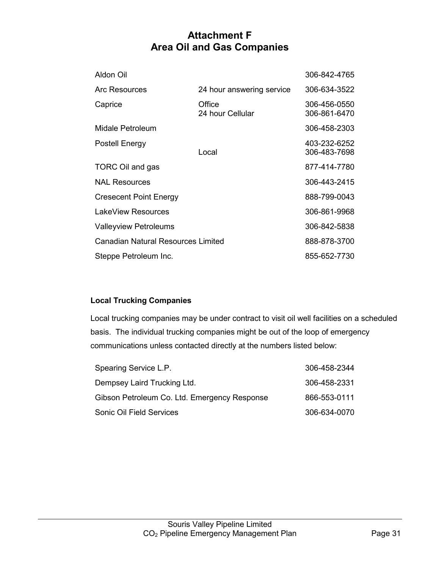## **Attachment F Area Oil and Gas Companies**

<span id="page-36-0"></span>

| Aldon Oil                                 |                            | 306-842-4765                 |
|-------------------------------------------|----------------------------|------------------------------|
| <b>Arc Resources</b>                      | 24 hour answering service  | 306-634-3522                 |
| Caprice                                   | Office<br>24 hour Cellular | 306-456-0550<br>306-861-6470 |
| Midale Petroleum                          |                            | 306-458-2303                 |
| Postell Energy                            | Local                      | 403-232-6252<br>306-483-7698 |
| TORC Oil and gas                          |                            | 877-414-7780                 |
| <b>NAL Resources</b>                      |                            | 306-443-2415                 |
| <b>Cresecent Point Energy</b>             |                            | 888-799-0043                 |
| LakeView Resources                        |                            | 306-861-9968                 |
| <b>Valleyview Petroleums</b>              |                            | 306-842-5838                 |
| <b>Canadian Natural Resources Limited</b> |                            | 888-878-3700                 |
| Steppe Petroleum Inc.                     |                            | 855-652-7730                 |

### **Local Trucking Companies**

Local trucking companies may be under contract to visit oil well facilities on a scheduled basis. The individual trucking companies might be out of the loop of emergency communications unless contacted directly at the numbers listed below:

| Spearing Service L.P.                        | 306-458-2344 |
|----------------------------------------------|--------------|
| Dempsey Laird Trucking Ltd.                  | 306-458-2331 |
| Gibson Petroleum Co. Ltd. Emergency Response | 866-553-0111 |
| Sonic Oil Field Services                     | 306-634-0070 |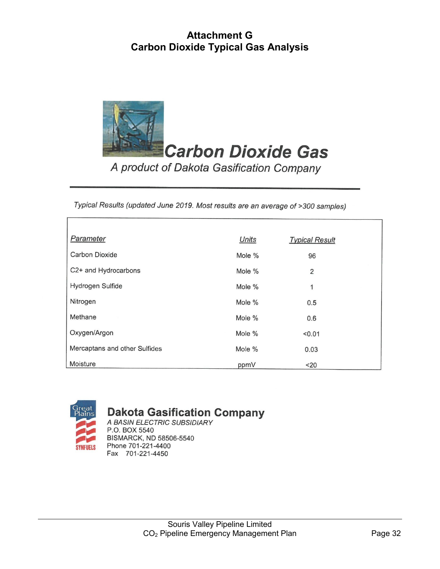## **Attachment G Carbon Dioxide Typical Gas Analysis**

<span id="page-37-0"></span>

Typical Results (updated June 2019. Most results are an average of >300 samples)

| Parameter                     | Units  | <b>Typical Result</b> |
|-------------------------------|--------|-----------------------|
| <b>Carbon Dioxide</b>         | Mole % | 96                    |
| C2+ and Hydrocarbons          | Mole % | $\overline{2}$        |
| Hydrogen Sulfide              | Mole % | 1                     |
| Nitrogen                      | Mole % | 0.5                   |
| Methane                       | Mole % | 0.6                   |
| Oxygen/Argon                  | Mole % | < 0.01                |
| Mercaptans and other Sulfides | Mole % | 0.03                  |
| Moisture                      | ppmV   | $20$                  |



## **Dakota Gasification Company**

A BASIN ELECTRIC SUBSIDIARY P.O. BOX 5540 BISMARCK, ND 58506-5540 Phone 701-221-4400 Fax 701-221-4450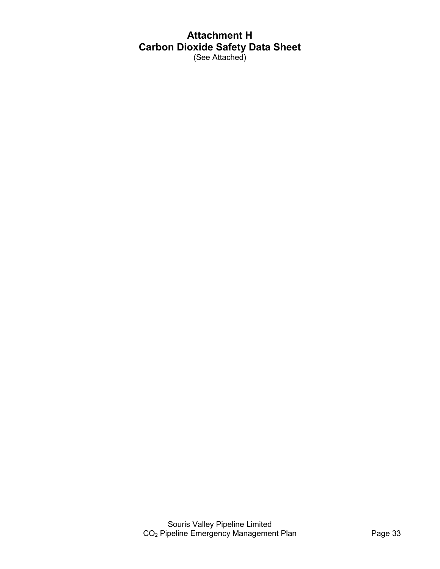# <span id="page-38-0"></span>**Attachment H Carbon Dioxide Safety Data Sheet**

(See Attached)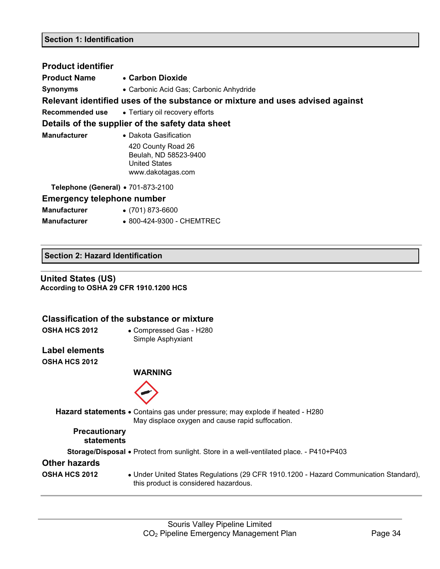| <b>Product identifier</b>          |                                                                                                                   |
|------------------------------------|-------------------------------------------------------------------------------------------------------------------|
| <b>Product Name</b>                | • Carbon Dioxide                                                                                                  |
| <b>Synonyms</b>                    | • Carbonic Acid Gas; Carbonic Anhydride                                                                           |
|                                    | Relevant identified uses of the substance or mixture and uses advised against                                     |
|                                    | <b>Recommended use •</b> Tertiary oil recovery efforts                                                            |
|                                    | Details of the supplier of the safety data sheet                                                                  |
| <b>Manufacturer</b>                | • Dakota Gasification<br>420 County Road 26<br>Beulah, ND 58523-9400<br><b>United States</b><br>www.dakotagas.com |
| Telephone (General) • 701-873-2100 |                                                                                                                   |
| <b>Emergency telephone number</b>  |                                                                                                                   |
| <b>Manufacturer</b>                | $\bullet$ (701) 873-6600                                                                                          |
| <b>Manufacturer</b>                | • 800-424-9300 - CHEMTREC                                                                                         |

### **Section 2: Hazard Identification**

### **United States (US) According to OSHA 29 CFR 1910.1200 HCS**

|                                    | <b>Classification of the substance or mixture</b>                                                                                        |
|------------------------------------|------------------------------------------------------------------------------------------------------------------------------------------|
| <b>OSHA HCS 2012</b>               | • Compressed Gas - H280<br>Simple Asphyxiant                                                                                             |
| <b>Label elements</b>              |                                                                                                                                          |
| <b>OSHA HCS 2012</b>               |                                                                                                                                          |
|                                    | WARNING                                                                                                                                  |
|                                    |                                                                                                                                          |
|                                    | <b>Hazard statements •</b> Contains gas under pressure; may explode if heated - H280<br>May displace oxygen and cause rapid suffocation. |
| <b>Precautionary</b><br>statements |                                                                                                                                          |
|                                    | <b>Storage/Disposal •</b> Protect from sunlight. Store in a well-ventilated place. - P410+P403                                           |
| <b>Other hazards</b>               |                                                                                                                                          |
| <b>OSHA HCS 2012</b>               | • Under United States Regulations (29 CFR 1910.1200 - Hazard Communication Standard),<br>this product is considered hazardous.           |
|                                    |                                                                                                                                          |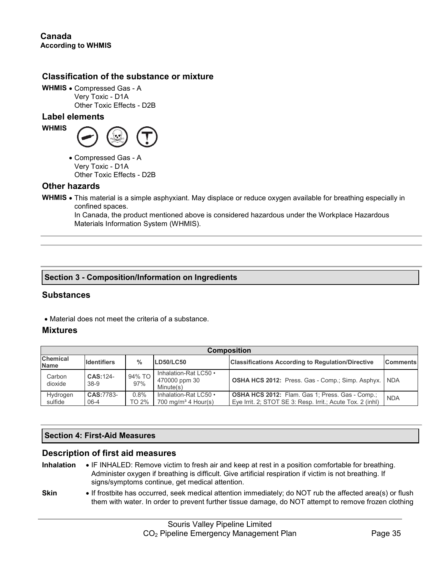### **Classification of the substance or mixture**

**WHMIS** • Compressed Gas - A Very Toxic - D1A Other Toxic Effects - D2B

### **Label elements**



• Compressed Gas - A Very Toxic - D1A Other Toxic Effects - D2B

### **Other hazards**

**WHMIS** • This material is a simple asphyxiant. May displace or reduce oxygen available for breathing especially in confined spaces.

In Canada, the product mentioned above is considered hazardous under the Workplace Hazardous Materials Information System (WHMIS).

### **Section 3 - Composition/Information on Ingredients**

### **Substances**

• Material does not meet the criteria of a substance.

### **Mixtures**

| <b>Composition</b>             |                       |               |                                                          |                                                                                                                      |                 |  |  |
|--------------------------------|-----------------------|---------------|----------------------------------------------------------|----------------------------------------------------------------------------------------------------------------------|-----------------|--|--|
| <b>Chemical</b><br><b>Name</b> | <b>Identifiers</b>    | $\frac{0}{0}$ | <b>LD50/LC50</b>                                         | <b>Classifications According to Regulation/Directive</b>                                                             | <b>Comments</b> |  |  |
| Carbon<br>dioxide              | CAS:124-<br>$38-9$    | 94% TO<br>97% | Inhalation-Rat LC50 •<br>470000 ppm 30<br>Minute(s)      | <b>OSHA HCS 2012: Press. Gas - Comp.; Simp. Asphyx.</b>                                                              | <b>NDA</b>      |  |  |
| Hydrogen<br>sulfide            | CAS:7783-<br>$06 - 4$ | 0.8%<br>TO 2% | Inhalation-Rat LC50 •<br>700 mg/m <sup>3</sup> 4 Hour(s) | <b>OSHA HCS 2012:</b> Flam. Gas 1; Press. Gas - Comp.;<br>Eye Irrit. 2; STOT SE 3: Resp. Irrit.; Acute Tox. 2 (inhl) | <b>NDA</b>      |  |  |

### **Section 4: First-Aid Measures**

### **Description of first aid measures**

- **Inhalation** IF INHALED: Remove victim to fresh air and keep at rest in a position comfortable for breathing. Administer oxygen if breathing is difficult. Give artificial respiration if victim is not breathing. If signs/symptoms continue, get medical attention.
- **Skin** If frostbite has occurred, seek medical attention immediately; do NOT rub the affected area(s) or flush them with water. In order to prevent further tissue damage, do NOT attempt to remove frozen clothing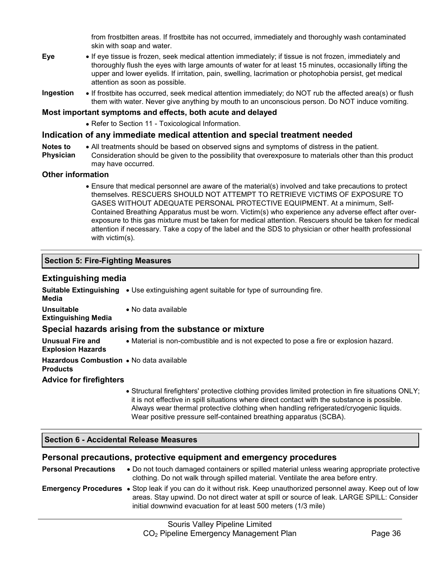from frostbitten areas. If frostbite has not occurred, immediately and thoroughly wash contaminated skin with soap and water.

- **Eye** If eye tissue is frozen, seek medical attention immediately; if tissue is not frozen, immediately and thoroughly flush the eyes with large amounts of water for at least 15 minutes, occasionally lifting the upper and lower eyelids. If irritation, pain, swelling, lacrimation or photophobia persist, get medical attention as soon as possible.
- **Ingestion** If frostbite has occurred, seek medical attention immediately; do NOT rub the affected area(s) or flush them with water. Never give anything by mouth to an unconscious person. Do NOT induce vomiting.

### **Most important symptoms and effects, both acute and delayed**

• Refer to Section 11 - Toxicological Information.

### **Indication of any immediate medical attention and special treatment needed**

- **Notes to**  • All treatments should be based on observed signs and symptoms of distress in the patient.
- **Physician** Consideration should be given to the possibility that overexposure to materials other than this product may have occurred.

### **Other information**

• Ensure that medical personnel are aware of the material(s) involved and take precautions to protect themselves. RESCUERS SHOULD NOT ATTEMPT TO RETRIEVE VICTIMS OF EXPOSURE TO GASES WITHOUT ADEQUATE PERSONAL PROTECTIVE EQUIPMENT. At a minimum, Self-Contained Breathing Apparatus must be worn. Victim(s) who experience any adverse effect after overexposure to this gas mixture must be taken for medical attention. Rescuers should be taken for medical attention if necessary. Take a copy of the label and the SDS to physician or other health professional with victim(s).

### **Section 5: Fire-Fighting Measures**

### **Extinguishing media**

| Media                                                       | <b>Suitable Extinguishing •</b> Use extinguishing agent suitable for type of surrounding fire.                                                                                                                                                                                                                                                                    |
|-------------------------------------------------------------|-------------------------------------------------------------------------------------------------------------------------------------------------------------------------------------------------------------------------------------------------------------------------------------------------------------------------------------------------------------------|
| Unsuitable<br><b>Extinguishing Media</b>                    | • No data available                                                                                                                                                                                                                                                                                                                                               |
|                                                             | Special hazards arising from the substance or mixture                                                                                                                                                                                                                                                                                                             |
| Unusual Fire and<br><b>Explosion Hazards</b>                | • Material is non-combustible and is not expected to pose a fire or explosion hazard.                                                                                                                                                                                                                                                                             |
| Hazardous Combustion • No data available<br><b>Products</b> |                                                                                                                                                                                                                                                                                                                                                                   |
| <b>Advice for firefighters</b>                              |                                                                                                                                                                                                                                                                                                                                                                   |
|                                                             | • Structural firefighters' protective clothing provides limited protection in fire situations ONLY;<br>it is not effective in spill situations where direct contact with the substance is possible.<br>Always wear thermal protective clothing when handling refrigerated/cryogenic liquids.<br>Wear positive pressure self-contained breathing apparatus (SCBA). |
| <b>Section 6 - Accidental Release Measures</b>              |                                                                                                                                                                                                                                                                                                                                                                   |

### **Personal precautions, protective equipment and emergency procedures**

| <b>Personal Precautions</b> | • Do not touch damaged containers or spilled material unless wearing appropriate protective<br>clothing. Do not walk through spilled material. Ventilate the area before entry.                                                                                                         |
|-----------------------------|-----------------------------------------------------------------------------------------------------------------------------------------------------------------------------------------------------------------------------------------------------------------------------------------|
|                             | <b>Emergency Procedures</b> • Stop leak if you can do it without risk. Keep unauthorized personnel away. Keep out of low<br>areas. Stay upwind. Do not direct water at spill or source of leak. LARGE SPILL: Consider<br>initial downwind evacuation for at least 500 meters (1/3 mile) |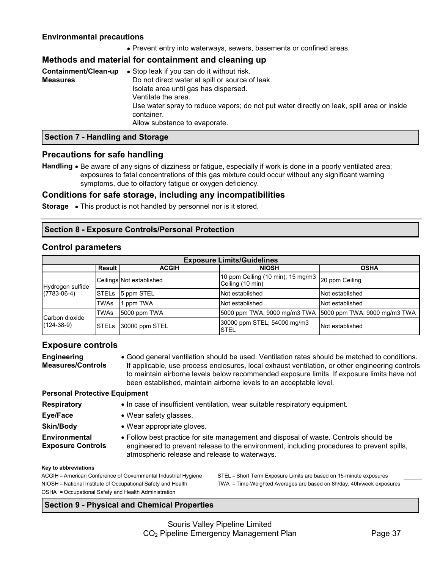### **Environmental precautions**

• Prevent entry into waterways, sewers, basements or confined areas.

### **Methods and material for containment and cleaning up**

| Containment/Clean-up | • Stop leak if you can do it without risk.                                                              |
|----------------------|---------------------------------------------------------------------------------------------------------|
| <b>Measures</b>      | Do not direct water at spill or source of leak.                                                         |
|                      | Isolate area until gas has dispersed.                                                                   |
|                      | Ventilate the area.                                                                                     |
|                      | Use water spray to reduce vapors; do not put water directly on leak, spill area or inside<br>container. |
|                      | Allow substance to evaporate.                                                                           |

### **Section 7 - Handling and Storage**

### **Precautions for safe handling**

**Handling** • Be aware of any signs of dizziness or fatigue, especially if work is done in a poorly ventilated area; exposures to fatal concentrations of this gas mixture could occur without any significant warning symptoms, due to olfactory fatigue or oxygen deficiency.

### **Conditions for safe storage, including any incompatibilities**

**Storage** • This product is not handled by personnel nor is it stored.

### **Section 8 - Exposure Controls/Personal Protection**

### **Control parameters**

| <b>Exposure Limits/Guidelines</b>     |        |                          |                                                                      |                 |  |
|---------------------------------------|--------|--------------------------|----------------------------------------------------------------------|-----------------|--|
|                                       | Result | <b>ACGIH</b>             | <b>NIOSH</b>                                                         | <b>OSHA</b>     |  |
| Hydrogen sulfide<br>$(7783 - 06 - 4)$ |        | Ceilings Not established | 10 ppm Ceiling (10 min); 15 mg/m3 20 ppm Ceiling<br>Ceiling (10 min) |                 |  |
|                                       |        | STELs 5 ppm STEL         | Not established                                                      | Not established |  |
|                                       | TWAs   | ppm TWA                  | Not established                                                      | Not established |  |
| Carbon dioxide<br>$(124 - 38 - 9)$    | TWAs   | 5000 ppm TWA             | 5000 ppm TWA; 9000 mg/m3 TWA 15000 ppm TWA; 9000 mg/m3 TWA           |                 |  |
|                                       |        | STELs 30000 ppm STEL     | 30000 ppm STEL; 54000 mg/m3<br><b>STEL</b>                           | Not established |  |

### **Exposure controls**

**Engineering Measures/Controls** • Good general ventilation should be used. Ventilation rates should be matched to conditions. If applicable, use process enclosures, local exhaust ventilation, or other engineering controls to maintain airborne levels below recommended exposure limits. If exposure limits have not been established, maintain airborne levels to an acceptable level.

### **Personal Protective Equipment**

| • In case of insufficient ventilation, wear suitable respiratory equipment |  |  |  |
|----------------------------------------------------------------------------|--|--|--|
|                                                                            |  |  |  |

- **Eye/Face** Wear safety glasses.
- **Skin/Body** Wear appropriate gloves.
- **Environmental**

**Exposure Controls**

• Follow best practice for site management and disposal of waste. Controls should be engineered to prevent release to the environment, including procedures to prevent spills, atmospheric release and release to waterways.

### **Key to abbreviations**

**Respiratory** 

OSHA = Occupational Safety and Health Administration

ACGIH = American Conference of Governmental Industrial Hygiene STEL = Short Term Exposure Limits are based on 15-minute exposures NIOSH = National Institute of Occupational Safety and Health TWA = Time-Weighted Averages are based on 8h/day, 40h/week exposures

### **Section 9 - Physical and Chemical Properties**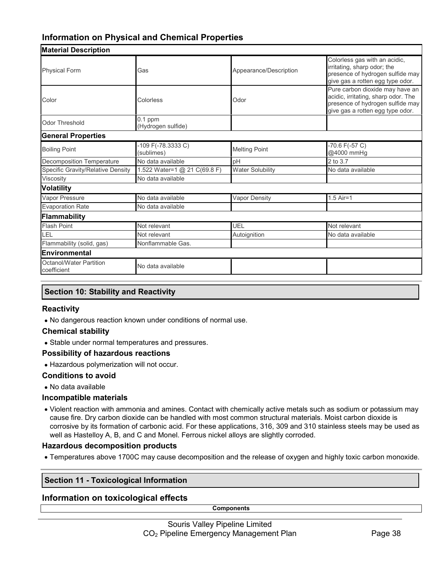## **Information on Physical and Chemical Properties**

| <b>Material Description</b>            |                                  |                         |                                                                                                                                                |  |
|----------------------------------------|----------------------------------|-------------------------|------------------------------------------------------------------------------------------------------------------------------------------------|--|
| <b>Physical Form</b>                   | Gas                              | Appearance/Description  | Colorless gas with an acidic,<br>irritating, sharp odor; the<br>presence of hydrogen sulfide may<br>give gas a rotten egg type odor.           |  |
| Color                                  | Colorless                        | Odor                    | Pure carbon dioxide may have an<br>acidic, irritating, sharp odor. The<br>presence of hydrogen sulfide may<br>give gas a rotten egg type odor. |  |
| Odor Threshold                         | $0.1$ ppm<br>(Hydrogen sulfide)  |                         |                                                                                                                                                |  |
| <b>General Properties</b>              |                                  |                         |                                                                                                                                                |  |
| <b>Boiling Point</b>                   | -109 F(-78.3333 C)<br>(sublimes) | <b>Melting Point</b>    | $-70.6$ F( $-57$ C)<br>@4000 mmHg                                                                                                              |  |
| <b>Decomposition Temperature</b>       | No data available                | pH                      | 2 to 3.7                                                                                                                                       |  |
| Specific Gravity/Relative Density      | 1.522 Water=1 @ 21 C(69.8 F)     | <b>Water Solubility</b> | No data available                                                                                                                              |  |
| Viscosity                              | No data available                |                         |                                                                                                                                                |  |
| <b>Volatility</b>                      |                                  |                         |                                                                                                                                                |  |
| Vapor Pressure                         | No data available                | Vapor Density           | $1.5$ Air=1                                                                                                                                    |  |
| <b>Evaporation Rate</b>                | No data available                |                         |                                                                                                                                                |  |
| Flammability                           |                                  |                         |                                                                                                                                                |  |
| <b>Flash Point</b>                     | Not relevant                     | UEL                     | Not relevant                                                                                                                                   |  |
| LEL                                    | Not relevant                     | Autoignition            | No data available                                                                                                                              |  |
| Flammability (solid, gas)              | Nonflammable Gas.                |                         |                                                                                                                                                |  |
| Environmental                          |                                  |                         |                                                                                                                                                |  |
| Octanol/Water Partition<br>coefficient | No data available                |                         |                                                                                                                                                |  |

### **Section 10: Stability and Reactivity**

### **Reactivity**

• No dangerous reaction known under conditions of normal use.

### **Chemical stability**

• Stable under normal temperatures and pressures.

### **Possibility of hazardous reactions**

• Hazardous polymerization will not occur.

### **Conditions to avoid**

• No data available

### **Incompatible materials**

• Violent reaction with ammonia and amines. Contact with chemically active metals such as sodium or potassium may cause fire. Dry carbon dioxide can be handled with most common structural materials. Moist carbon dioxide is corrosive by its formation of carbonic acid. For these applications, 316, 309 and 310 stainless steels may be used as well as Hastelloy A, B, and C and Monel. Ferrous nickel alloys are slightly corroded.

### **Hazardous decomposition products**

• Temperatures above 1700C may cause decomposition and the release of oxygen and highly toxic carbon monoxide.

### **Section 11 - Toxicological Information**

### **Information on toxicological effects**

**Components**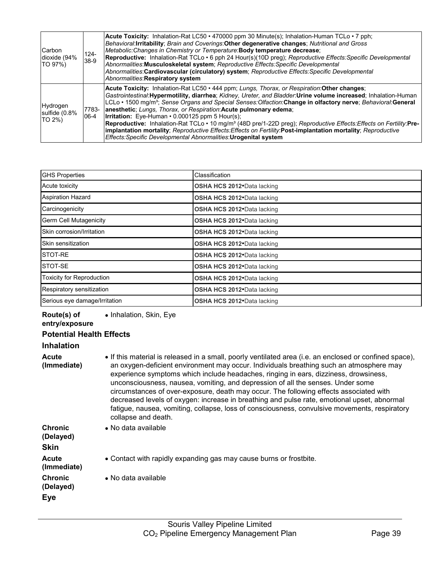| <b>Carbon</b><br>dioxide (94%<br>TO 97%) | $124 -$<br>38-9 | <b>Acute Toxicity:</b> Inhalation-Rat LC50 • 470000 ppm 30 Minute(s); Inhalation-Human TCLo • 7 pph;<br>Behavioral: Irritability; Brain and Coverings: Other degenerative changes; Nutritional and Gross<br>Metabolic: Changes in Chemistry or Temperature: Body temperature decrease;<br>Reproductive: Inhalation-Rat TCLo · 6 pph 24 Hour(s)(10D preg); Reproductive Effects: Specific Developmental<br>Abnormalities: Musculoskeletal system; Reproductive Effects: Specific Developmental<br>Abnormalities: Cardiovascular (circulatory) system; Reproductive Effects: Specific Developmental<br>Abnormalities: Respiratory system                                                                                                                                                                      |
|------------------------------------------|-----------------|-------------------------------------------------------------------------------------------------------------------------------------------------------------------------------------------------------------------------------------------------------------------------------------------------------------------------------------------------------------------------------------------------------------------------------------------------------------------------------------------------------------------------------------------------------------------------------------------------------------------------------------------------------------------------------------------------------------------------------------------------------------------------------------------------------------|
| Hydrogen<br>sulfide (0.8%<br>TO 2%)      | 7783-<br>06-4   | Acute Toxicity: Inhalation-Rat LC50 · 444 ppm; Lungs, Thorax, or Respiration: Other changes;<br>Gastrointestinal: Hypermotility, diarrhea; Kidney, Ureter, and Bladder: Urine volume increased; Inhalation-Human<br>LCLo • 1500 mg/m <sup>3</sup> ; Sense Organs and Special Senses: Olfaction: Change in olfactory nerve; Behavioral: General<br>anesthetic; Lungs, Thorax, or Respiration: Acute pulmonary edema;<br><b>Irritation:</b> Eye-Human $\cdot$ 0.000125 ppm 5 Hour(s);<br>Reproductive: Inhalation-Rat TCLo · 10 mg/m <sup>3</sup> (48D pre/1-22D preg); Reproductive Effects: Effects on Fertility: Pre-<br>implantation mortality; Reproductive Effects: Effects on Fertility: Post-implantation mortality; Reproductive<br>Effects: Specific Developmental Abnormalities: Urogenital system |

| <b>GHS Properties</b>            | Classification              |
|----------------------------------|-----------------------------|
| Acute toxicity                   | OSHA HCS 2012. Data lacking |
| Aspiration Hazard                | OSHA HCS 2012. Data lacking |
| Carcinogenicity                  | OSHA HCS 2012. Data lacking |
| <b>Germ Cell Mutagenicity</b>    | OSHA HCS 2012. Data lacking |
| Skin corrosion/Irritation        | OSHA HCS 2012. Data lacking |
| Skin sensitization               | OSHA HCS 2012. Data lacking |
| STOT-RE                          | OSHA HCS 2012. Data lacking |
| STOT-SE                          | OSHA HCS 2012. Data lacking |
| <b>Toxicity for Reproduction</b> | OSHA HCS 2012. Data lacking |
| Respiratory sensitization        | OSHA HCS 2012. Data lacking |
| Serious eye damage/Irritation    | OSHA HCS 2012. Data lacking |

| Route(s) of<br>entry/exposure              | • Inhalation, Skin, Eye                                                                                                                                                                                                                                                                                                                                                                                                                                                                                                                                                                                                                                                                        |
|--------------------------------------------|------------------------------------------------------------------------------------------------------------------------------------------------------------------------------------------------------------------------------------------------------------------------------------------------------------------------------------------------------------------------------------------------------------------------------------------------------------------------------------------------------------------------------------------------------------------------------------------------------------------------------------------------------------------------------------------------|
| <b>Potential Health Effects</b>            |                                                                                                                                                                                                                                                                                                                                                                                                                                                                                                                                                                                                                                                                                                |
| <b>Inhalation</b>                          |                                                                                                                                                                                                                                                                                                                                                                                                                                                                                                                                                                                                                                                                                                |
| Acute<br>(Immediate)                       | • If this material is released in a small, poorly ventilated area (i.e. an enclosed or confined space),<br>an oxygen-deficient environment may occur. Individuals breathing such an atmosphere may<br>experience symptoms which include headaches, ringing in ears, dizziness, drowsiness,<br>unconsciousness, nausea, vomiting, and depression of all the senses. Under some<br>circumstances of over-exposure, death may occur. The following effects associated with<br>decreased levels of oxygen: increase in breathing and pulse rate, emotional upset, abnormal<br>fatigue, nausea, vomiting, collapse, loss of consciousness, convulsive movements, respiratory<br>collapse and death. |
| <b>Chronic</b><br>(Delayed)<br><b>Skin</b> | • No data available                                                                                                                                                                                                                                                                                                                                                                                                                                                                                                                                                                                                                                                                            |
| Acute<br>(Immediate)                       | • Contact with rapidly expanding gas may cause burns or frostbite.                                                                                                                                                                                                                                                                                                                                                                                                                                                                                                                                                                                                                             |
| <b>Chronic</b><br>(Delayed)                | • No data available                                                                                                                                                                                                                                                                                                                                                                                                                                                                                                                                                                                                                                                                            |
| <b>Eye</b>                                 |                                                                                                                                                                                                                                                                                                                                                                                                                                                                                                                                                                                                                                                                                                |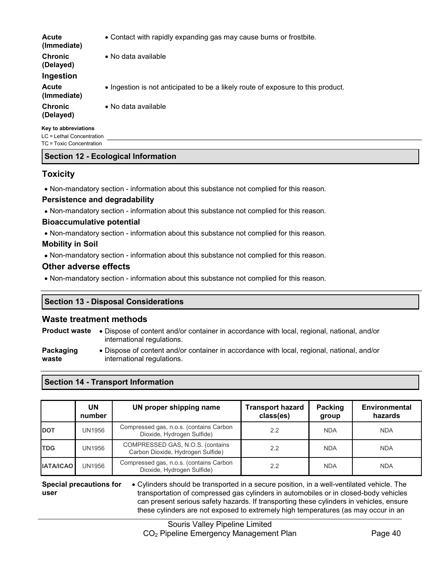| <b>Acute</b><br>(Immediate) | • Contact with rapidly expanding gas may cause burns or frostbite.               |
|-----------------------------|----------------------------------------------------------------------------------|
| <b>Chronic</b><br>(Delayed) | • No data available                                                              |
| Ingestion                   |                                                                                  |
| <b>Acute</b><br>(Immediate) | • Ingestion is not anticipated to be a likely route of exposure to this product. |
| <b>Chronic</b><br>(Delayed) | • No data available                                                              |
| Key to abbreviations        |                                                                                  |

LC = Lethal Concentration TC = Toxic Concentration

### **Section 12 - Ecological Information**

### **Toxicity**

• Non-mandatory section - information about this substance not complied for this reason.

### **Persistence and degradability**

• Non-mandatory section - information about this substance not complied for this reason.

### **Bioaccumulative potential**

• Non-mandatory section - information about this substance not complied for this reason.

### **Mobility in Soil**

• Non-mandatory section - information about this substance not complied for this reason.

### **Other adverse effects**

• Non-mandatory section - information about this substance not complied for this reason.

### **Section 13 - Disposal Considerations**

### **Waste treatment methods**

**Product waste** • Dispose of content and/or container in accordance with local, regional, national, and/or international regulations.

**Packaging waste** • Dispose of content and/or container in accordance with local, regional, national, and/or international regulations.

### **Section 14 - Transport Information**

|                  | UN<br>number | UN proper shipping name                                               | <b>Transport hazard</b><br>class(es) | Packing<br>group | Environmental<br>hazards |
|------------------|--------------|-----------------------------------------------------------------------|--------------------------------------|------------------|--------------------------|
| <b>DOT</b>       | UN1956       | Compressed gas, n.o.s. (contains Carbon<br>Dioxide, Hydrogen Sulfide) | 2.2                                  | <b>NDA</b>       | <b>NDA</b>               |
| <b>TDG</b>       | UN1956       | COMPRESSED GAS, N.O.S. (contains<br>Carbon Dioxide, Hydrogen Sulfide) | 2.2                                  | <b>NDA</b>       | <b>NDA</b>               |
| <b>IATA/ICAO</b> | UN1956       | Compressed gas, n.o.s. (contains Carbon<br>Dioxide, Hydrogen Sulfide) | 2.2                                  | <b>NDA</b>       | <b>NDA</b>               |

#### **Special precautions for user** • Cylinders should be transported in a secure position, in a well-ventilated vehicle. The transportation of compressed gas cylinders in automobiles or in closed-body vehicles can present serious safety hazards. If transporting these cylinders in vehicles, ensure these cylinders are not exposed to extremely high temperatures (as may occur in an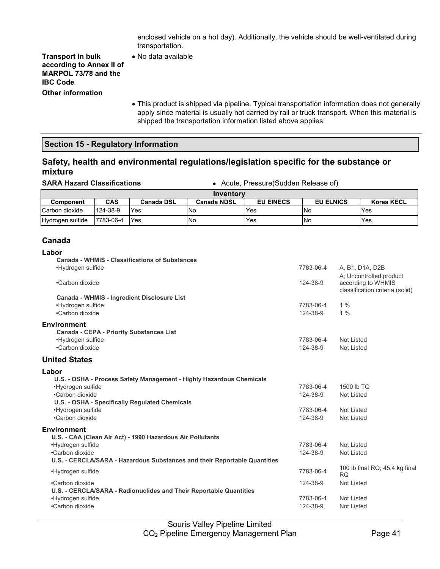enclosed vehicle on a hot day). Additionally, the vehicle should be well-ventilated during transportation.

**Transport in bulk according to Annex II of MARPOL 73/78 and the IBC Code Other information**

- No data available
- This product is shipped via pipeline. Typical transportation information does not generally apply since material is usually not carried by rail or truck transport. When this material is shipped the transportation information listed above applies.

### **Section 15 - Regulatory Information**

### **Safety, health and environmental regulations/legislation specific for the substance or mixture**

**SARA Hazard Classifications** • Acute, Pressure(Sudden Release of)

| Inventory        |            |                   |                    |                  |                  |                   |  |
|------------------|------------|-------------------|--------------------|------------------|------------------|-------------------|--|
| <b>Component</b> | <b>CAS</b> | <b>Canada DSL</b> | <b>Canada NDSL</b> | <b>EU EINECS</b> | <b>EU ELNICS</b> | <b>Korea KECL</b> |  |
| lCarbon dioxide  | 124-38-9   | Yes               | l No               | Yes              | <b>No</b>        | Yes               |  |
| Hydrogen sulfide | 7783-06-4  | Yes               | No                 | Yes              | <b>INo</b>       | Yes               |  |

### **Canada**

### **Labor**

| 7783-06-4                                      | A, B1, D1A, D2B<br>A: Uncontrolled product                                                          |
|------------------------------------------------|-----------------------------------------------------------------------------------------------------|
| 124-38-9                                       | according to WHMIS<br>classification criteria (solid)                                               |
| 7783-06-4<br>124-38-9                          | $1\%$<br>1%                                                                                         |
| 7783-06-4<br>124-38-9                          | Not Listed<br>Not Listed                                                                            |
|                                                |                                                                                                     |
| 7783-06-4<br>124-38-9<br>7783-06-4<br>124-38-9 | 1500 lb TQ<br><b>Not Listed</b><br>Not Listed<br>Not Listed                                         |
| 7783-06-4<br>124-38-9                          | Not Listed<br>Not Listed                                                                            |
| 7783-06-4<br>124-38-9<br>7783-06-4<br>124-38-9 | 100 lb final RQ; 45.4 kg final<br><b>RQ</b><br><b>Not Listed</b><br>Not Listed<br><b>Not Listed</b> |
|                                                |                                                                                                     |